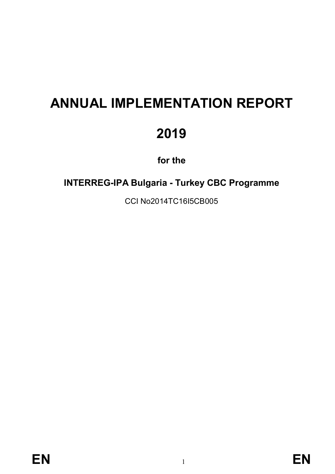# **ANNUAL IMPLEMENTATION REPORT 2019**

**for the**

**INTERREG-IPA Bulgaria - Turkey CBC Programme**

CCI No2014TC16I5CB005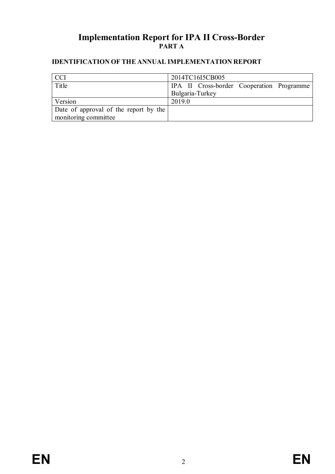# **Implementation Report for IPA II Cross-Border PART A**

# **IDENTIFICATION OF THE ANNUAL IMPLEMENTATION REPORT**

| <b>CCI</b>                            | 2014TC16I5CB005                           |
|---------------------------------------|-------------------------------------------|
| Title                                 | IPA II Cross-border Cooperation Programme |
|                                       | Bulgaria-Turkey                           |
| Version                               | 2019.0                                    |
| Date of approval of the report by the |                                           |
| monitoring committee                  |                                           |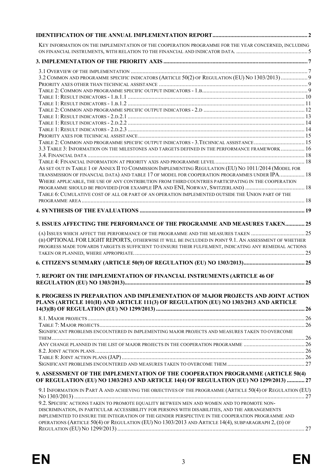| KEY INFORMATION ON THE IMPLEMENTATION OF THE COOPERATION PROGRAMME FOR THE YEAR CONCERNED, INCLUDING                                                                                                            |  |
|-----------------------------------------------------------------------------------------------------------------------------------------------------------------------------------------------------------------|--|
|                                                                                                                                                                                                                 |  |
| 3.2 COMMON AND PROGRAMME SPECIFIC INDICATORS (ARTICLE 50(2) OF REGULATION (EU) NO 1303/2013) 9                                                                                                                  |  |
|                                                                                                                                                                                                                 |  |
|                                                                                                                                                                                                                 |  |
|                                                                                                                                                                                                                 |  |
|                                                                                                                                                                                                                 |  |
|                                                                                                                                                                                                                 |  |
|                                                                                                                                                                                                                 |  |
|                                                                                                                                                                                                                 |  |
| TABLE 2: COMMON AND PROGRAMME SPECIFIC OUTPUT INDICATORS - 3. TECHNICAL ASSISTANCE  15                                                                                                                          |  |
| 3.3 TABLE 3: INFORMATION ON THE MILESTONES AND TARGETS DEFINED IN THE PERFORMANCE FRAMEWORK 16                                                                                                                  |  |
|                                                                                                                                                                                                                 |  |
| AS SET OUT IN TABLE 1 OF ANNEX II TO COMMISSION IMPLEMENTING REGULATION (EU) NO 1011/2014 (MODEL FOR<br>TRANSMISSION OF FINANCIAL DATA) AND TABLE 17 OF MODEL FOR COOPERATION PROGRAMMES UNDER IPA 18           |  |
| WHERE APPLICABLE, THE USE OF ANY CONTRIBUTION FROM THIRD COUNTRIES PARTICIPATING IN THE COOPERATION                                                                                                             |  |
|                                                                                                                                                                                                                 |  |
| TABLE 6: CUMULATIVE COST OF ALL OR PART OF AN OPERATION IMPLEMENTED OUTSIDE THE UNION PART OF THE                                                                                                               |  |
|                                                                                                                                                                                                                 |  |
| 5. ISSUES AFFECTING THE PERFORMANCE OF THE PROGRAMME AND MEASURES TAKEN 25                                                                                                                                      |  |
|                                                                                                                                                                                                                 |  |
| (B) OPTIONAL FOR LIGHT REPORTS, OTHERWISE IT WILL BE INCLUDED IN POINT 9.1. AN ASSESSMENT OF WHETHER<br>PROGRESS MADE TOWARDS TARGETS IS SUFFICIENT TO ENSURE THEIR FULFILMENT, INDICATING ANY REMEDIAL ACTIONS |  |
|                                                                                                                                                                                                                 |  |
| 7. REPORT ON THE IMPLEMENTATION OF FINANCIAL INSTRUMENTS (ARTICLE 46 OF                                                                                                                                         |  |
| 8. PROGRESS IN PREPARATION AND IMPLEMENTATION OF MAJOR PROJECTS AND JOINT ACTION<br>PLANS (ARTICLE 101(H) AND ARTICLE 111(3) OF REGULATION (EU) NO 1303/2013 AND ARTICLE                                        |  |
|                                                                                                                                                                                                                 |  |
|                                                                                                                                                                                                                 |  |
| SIGNIFICANT PROBLEMS ENCOUNTERED IN IMPLEMENTING MAJOR PROJECTS AND MEASURES TAKEN TO OVERCOME                                                                                                                  |  |
|                                                                                                                                                                                                                 |  |
|                                                                                                                                                                                                                 |  |
|                                                                                                                                                                                                                 |  |
| 9. ASSESSMENT OF THE IMPLEMENTATION OF THE COOPERATION PROGRAMME (ARTICLE 50(4)<br>OF REGULATION (EU) NO 1303/2013 AND ARTICLE 14(4) OF REGULATION (EU) NO 1299/2013)  27                                       |  |
| 9.1 INFORMATION IN PART A AND ACHIEVING THE OBJECTIVES OF THE PROGRAMME (ARTICLE 50(4) OF REGULATION (EU)                                                                                                       |  |
|                                                                                                                                                                                                                 |  |
| 9.2. SPECIFIC ACTIONS TAKEN TO PROMOTE EQUALITY BETWEEN MEN AND WOMEN AND TO PROMOTE NON-                                                                                                                       |  |
| DISCRIMINATION, IN PARTICULAR ACCESSIBILITY FOR PERSONS WITH DISABILITIES, AND THE ARRANGEMENTS                                                                                                                 |  |
| IMPLEMENTED TO ENSURE THE INTEGRATION OF THE GENDER PERSPECTIVE IN THE COOPERATION PROGRAMME AND<br>OPERATIONS (ARTICLE 50(4) OF REGULATION (EU) NO 1303/2013 AND ARTICLE 14(4), SUBPARAGRAPH 2, (D) OF         |  |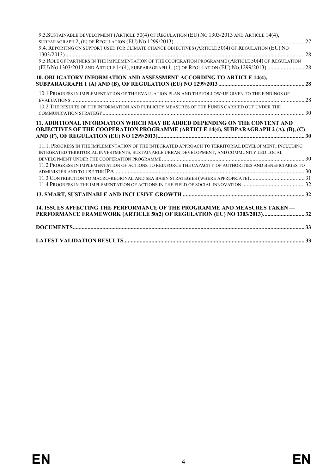| 14. ISSUES AFFECTING THE PERFORMANCE OF THE PROGRAMME AND MEASURES TAKEN -<br>PERFORMANCE FRAMEWORK (ARTICLE 50(2) OF REGULATION (EU) NO 1303/2013) 32                                              |  |
|-----------------------------------------------------------------------------------------------------------------------------------------------------------------------------------------------------|--|
|                                                                                                                                                                                                     |  |
|                                                                                                                                                                                                     |  |
|                                                                                                                                                                                                     |  |
| 11.2 PROGRESS IN IMPLEMENTATION OF ACTIONS TO REINFORCE THE CAPACITY OF AUTHORITIES AND BENEFICIARIES TO                                                                                            |  |
| 11.1. PROGRESS IN THE IMPLEMENTATION OF THE INTEGRATED APPROACH TO TERRITORIAL DEVELOPMENT, INCLUDING<br>INTEGRATED TERRITORIAL INVESTMENTS, SUSTAINABLE URBAN DEVELOPMENT, AND COMMUNITY LED LOCAL |  |
| 11. ADDITIONAL INFORMATION WHICH MAY BE ADDED DEPENDING ON THE CONTENT AND<br>OBJECTIVES OF THE COOPERATION PROGRAMME (ARTICLE 14(4), SUBPARAGRAPH 2 (A), (B), (C)                                  |  |
| 10.2 THE RESULTS OF THE INFORMATION AND PUBLICITY MEASURES OF THE FUNDS CARRIED OUT UNDER THE                                                                                                       |  |
| 10.1 PROGRESS IN IMPLEMENTATION OF THE EVALUATION PLAN AND THE FOLLOW-UP GIVEN TO THE FINDINGS OF                                                                                                   |  |
| 10. OBLIGATORY INFORMATION AND ASSESSMENT ACCORDING TO ARTICLE 14(4),                                                                                                                               |  |
| 9.5 ROLE OF PARTNERS IN THE IMPLEMENTATION OF THE COOPERATION PROGRAMME (ARTICLE 50(4) OF REGULATION                                                                                                |  |
| 9.4. REPORTING ON SUPPORT USED FOR CLIMATE CHANGE OBJECTIVES (ARTICLE 50(4) OF REGULATION (EU) NO                                                                                                   |  |
| 9.3. SUSTAINABLE DEVELOPMENT (ARTICLE 50(4) OF REGULATION (EU) NO 1303/2013 AND ARTICLE 14(4),                                                                                                      |  |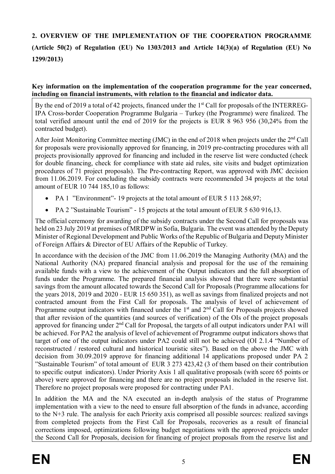# **2. OVERVIEW OF THE IMPLEMENTATION OF THE COOPERATION PROGRAMME (Article 50(2) of Regulation (EU) No 1303/2013 and Article 14(3)(a) of Regulation (EU) No 1299/2013)**

#### **Key information on the implementation of the cooperation programme for the year concerned, including on financial instruments, with relation to the financial and indicator data.**

By the end of 2019 a total of 42 projects, financed under the 1<sup>st</sup> Call for proposals of the INTERREG-IPA Cross-border Cooperation Programme Bulgaria – Turkey (the Programme) were finalized. The total verified amount until the end of 2019 for the projects is EUR 8 963 956 (30,24% from the contracted budget).

After Joint Monitoring Committee meeting (JMC) in the end of 2018 when projects under the 2<sup>nd</sup> Call for proposals were provisionally approved for financing, in 2019 pre-contracting procedures with all projects provisionally approved for financing and included in the reserve list were conducted (check for double financing, check for compliance with state aid rules, site visits and budget optimization procedures of 71 project proposals). The Pre-contracting Report, was approved with JMC decision from 11.06.2019. For concluding the subsidy contracts were recommended 34 projects at the total amount of EUR 10 744 185,10 as follows:

- PA 1 "Environment"- 19 projects at the total amount of EUR 5 113 268,97;
- PA 2 "Sustainable Tourism" 15 projects at the total amount of EUR 5 630 916,13.

The official ceremony for awarding of the subsidy contracts under the Second Call for proposals was held on 23 July 2019 at premises of MRDPW in Sofia, Bulgaria. The event was attended by the Deputy Minister of Regional Development and Public Works of the Republic of Bulgaria and Deputy Minister of Foreign Affairs & Director of EU Affairs of the Republic of Turkey.

In accordance with the decision of the JMC from 11.06.2019 the Managing Authority (MA) and the National Authority (NA) prepared financial analysis and proposal for the use of the remaining available funds with a view to the achievement of the Output indicators and the full absorption of funds under the Programme. The prepared financial analysis showed that there were substantial savings from the amount allocated towards the Second Call for Proposals (Programme allocations for the years 2018, 2019 and 2020 - EUR 15 650 351), as well as savings from finalized projects and not contracted amount from the First Call for proposals. The analysis of level of achievement of Programme output indicators with financed under the  $1<sup>st</sup>$  and  $2<sup>nd</sup>$  Call for Proposals projects showed that after revision of the quantities (and sources of verification) of the OIs of the project proposals approved for financing under  $2<sup>nd</sup>$  Call for Proposal, the targets of all output indicators under PA1 will be achieved. For PA2 the analysis of level of achievement of Programme output indicators shows that target of one of the output indicators under PA2 could still not be achieved (OI 2.1.4 "Number of reconstructed / restored cultural and historical touristic sites"). Based on the above the JMC with decision from 30.09.2019 approve for financing additional 14 applications proposed under PA 2 "Sustainable Tourism" of total amount of EUR 3 273 423,42 (3 of them based on their contribution to specific output indicators). Under Priority Axis 1 all qualitative proposals (with score 65 points or above) were approved for financing and there are no project proposals included in the reserve list. Therefore no project proposals were proposed for contracting under PA1.

In addition the MA and the NA executed an in-depth analysis of the status of Programme implementation with a view to the need to ensure full absorption of the funds in advance, according to the N+3 rule. The analysis for each Priority axis comprised all possible sources: realized savings from completed projects from the First Call for Proposals, recoveries as a result of financial corrections imposed, optimizations following budget negotiations with the approved projects under the Second Call for Proposals, decision for financing of project proposals from the reserve list and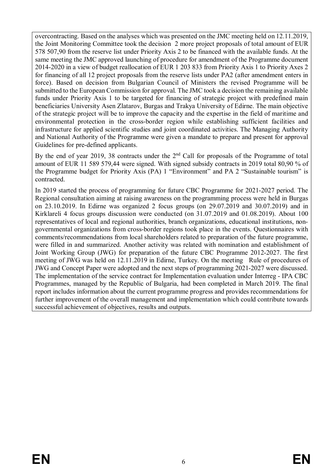overcontracting. Based on the analyses which was presented on the JMC meeting held on 12.11.2019, the Joint Monitoring Committee took the decision 2 more project proposals of total amount of EUR 578 507,90 from the reserve list under Priority Axis 2 to be financed with the available funds. At the same meeting the JMC approved launching of procedure for amendment of the Programme document 2014-2020 in a view of budget reallocation of EUR 1 203 833 from Priority Axis 1 to Priority Axes 2 for financing of all 12 project proposals from the reserve lists under PA2 (after amendment enters in force). Based on decision from Bulgarian Council of Ministers the revised Programme will be submitted to the European Commission for approval. The JMC took a decision the remaining available funds under Priority Axis 1 to be targeted for financing of strategic project with predefined main beneficiaries University Asen Zlatarov, Burgas and Trakya University of Edirne. The main objective of the strategic project will be to improve the capacity and the expertise in the field of maritime and environmental protection in the cross-border region while establishing sufficient facilities and infrastructure for applied scientific studies and joint coordinated activities. The Managing Authority and National Authority of the Programme were given a mandate to prepare and present for approval Guidelines for pre-defined applicants.

By the end of year 2019, 38 contracts under the 2<sup>nd</sup> Call for proposals of the Programme of total amount of EUR 11 589 579,44 were signed. With signed subsidy contracts in 2019 total 80,90 % of the Programme budget for Priority Axis (PA) 1 "Environment" and PA 2 "Sustainable tourism" is contracted.

In 2019 started the process of programming for future CBC Programme for 2021-2027 period. The Regional consultation aiming at raising awareness on the programming process were held in Burgas on 23.10.2019. In Edirne was organized 2 focus groups (on 29.07.2019 and 30.07.2019) and in Kirklareli 4 focus groups discussion were conducted (on 31.07.2019 and 01.08.2019). About 100 representatives of local and regional authorities, branch organizations, educational institutions, nongovernmental organizations from cross-border regions took place in the events. Questionnaires with comments/recommendations from local shareholders related to preparation of the future programme, were filled in and summarized. Another activity was related with nomination and establishment of Joint Working Group (JWG) for preparation of the future CBC Programme 2012-2027. The first meeting of JWG was held on 12.11.2019 in Edirne, Turkey. On the meeting Rule of procedures of JWG and Concept Paper were adopted and the next steps of programming 2021-2027 were discussed. The implementation of the service contract for Implementation evaluation under Interreg - IPA CBC Programmes, managed by the Republic of Bulgaria, had been completed in March 2019. The final report includes information about the current programme progress and provides recommendations for further improvement of the overall management and implementation which could contribute towards successful achievement of objectives, results and outputs.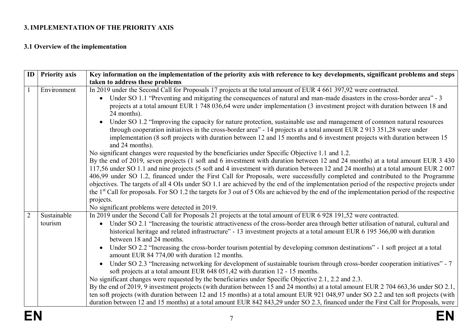# **3. IMPLEMENTATION OF THE PRIORITY AXIS**

# **3.1 Overview of the implementation**

| ID             | <b>Priority axis</b> | Key information on the implementation of the priority axis with reference to key developments, significant problems and steps                                                                                                                                                             |
|----------------|----------------------|-------------------------------------------------------------------------------------------------------------------------------------------------------------------------------------------------------------------------------------------------------------------------------------------|
|                |                      | taken to address these problems                                                                                                                                                                                                                                                           |
| $\mathbf{1}$   | Environment          | In 2019 under the Second Call for Proposals 17 projects at the total amount of EUR 4 661 397,92 were contracted.                                                                                                                                                                          |
|                |                      | Under SO 1.1 "Preventing and mitigating the consequences of natural and man-made disasters in the cross-border area" - 3                                                                                                                                                                  |
|                |                      | projects at a total amount EUR 1 748 036,64 were under implementation (3 investment project with duration between 18 and                                                                                                                                                                  |
|                |                      | 24 months).                                                                                                                                                                                                                                                                               |
|                |                      | Under SO 1.2 "Improving the capacity for nature protection, sustainable use and management of common natural resources                                                                                                                                                                    |
|                |                      | through cooperation initiatives in the cross-border area" - 14 projects at a total amount EUR 2 913 351,28 were under                                                                                                                                                                     |
|                |                      | implementation (8 soft projects with duration between 12 and 15 months and 6 investment projects with duration between 15                                                                                                                                                                 |
|                |                      | and 24 months).                                                                                                                                                                                                                                                                           |
|                |                      | No significant changes were requested by the beneficiaries under Specific Objective 1.1 and 1.2.                                                                                                                                                                                          |
|                |                      | By the end of 2019, seven projects (1 soft and 6 investment with duration between 12 and 24 months) at a total amount EUR 3 430                                                                                                                                                           |
|                |                      | 117,56 under SO 1.1 and nine projects (5 soft and 4 investment with duration between 12 and 24 months) at a total amount EUR 2 007                                                                                                                                                        |
|                |                      | 406,99 under SO 1.2, financed under the First Call for Proposals, were successfully completed and contributed to the Programme                                                                                                                                                            |
|                |                      | objectives. The targets of all 4 OIs under SO 1.1 are achieved by the end of the implementation period of the respective projects under<br>the $1st$ Call for proposals. For SO 1.2 the targets for 3 out of 5 OIs are achieved by the end of the implementation period of the respective |
|                |                      | projects.                                                                                                                                                                                                                                                                                 |
|                |                      | No significant problems were detected in 2019.                                                                                                                                                                                                                                            |
| $\overline{2}$ | Sustainable          | In 2019 under the Second Call for Proposals 21 projects at the total amount of EUR 6 928 191,52 were contracted.                                                                                                                                                                          |
|                | tourism              | Under SO 2.1 "Increasing the touristic attractiveness of the cross-border area through better utilisation of natural, cultural and                                                                                                                                                        |
|                |                      | historical heritage and related infrastructure" - 13 investment projects at a total amount EUR 6 195 366,00 with duration                                                                                                                                                                 |
|                |                      | between 18 and 24 months.                                                                                                                                                                                                                                                                 |
|                |                      | Under SO 2.2 "Increasing the cross-border tourism potential by developing common destinations" - 1 soft project at a total<br>$\bullet$                                                                                                                                                   |
|                |                      | amount EUR 84 774,00 with duration 12 months.                                                                                                                                                                                                                                             |
|                |                      | Under SO 2.3 "Increasing networking for development of sustainable tourism through cross-border cooperation initiatives" - 7<br>$\bullet$                                                                                                                                                 |
|                |                      | soft projects at a total amount EUR 648 051,42 with duration 12 - 15 months.                                                                                                                                                                                                              |
|                |                      | No significant changes were requested by the beneficiaries under Specific Objective 2.1, 2.2 and 2.3.                                                                                                                                                                                     |
|                |                      | By the end of 2019, 9 investment projects (with duration between 15 and 24 months) at a total amount EUR 2 704 663,36 under SO 2.1,                                                                                                                                                       |
|                |                      | ten soft projects (with duration between 12 and 15 months) at a total amount EUR 921 048,97 under SO 2.2 and ten soft projects (with                                                                                                                                                      |
|                |                      | duration between 12 and 15 months) at a total amount EUR 842 843,29 under SO 2.3, financed under the First Call for Proposals, were                                                                                                                                                       |
|                |                      |                                                                                                                                                                                                                                                                                           |
| EN             |                      |                                                                                                                                                                                                                                                                                           |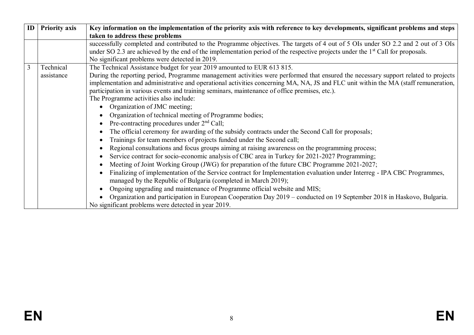| $\mathbf{ID}$ | <b>Priority axis</b>                                                                                                                             | Key information on the implementation of the priority axis with reference to key developments, significant problems and steps              |  |  |  |  |  |  |  |  |
|---------------|--------------------------------------------------------------------------------------------------------------------------------------------------|--------------------------------------------------------------------------------------------------------------------------------------------|--|--|--|--|--|--|--|--|
|               |                                                                                                                                                  | taken to address these problems                                                                                                            |  |  |  |  |  |  |  |  |
|               |                                                                                                                                                  | successfully completed and contributed to the Programme objectives. The targets of 4 out of 5 OIs under SO 2.2 and 2 out of 3 OIs          |  |  |  |  |  |  |  |  |
|               |                                                                                                                                                  | under SO 2.3 are achieved by the end of the implementation period of the respective projects under the 1 <sup>st</sup> Call for proposals. |  |  |  |  |  |  |  |  |
|               |                                                                                                                                                  | No significant problems were detected in 2019.                                                                                             |  |  |  |  |  |  |  |  |
| 3             | Technical                                                                                                                                        | The Technical Assistance budget for year 2019 amounted to EUR 613 815.                                                                     |  |  |  |  |  |  |  |  |
|               | During the reporting period, Programme management activities were performed that ensured the necessary support related to projects<br>assistance |                                                                                                                                            |  |  |  |  |  |  |  |  |
|               |                                                                                                                                                  | implementation and administrative and operational activities concerning MA, NA, JS and FLC unit within the MA (staff remuneration,         |  |  |  |  |  |  |  |  |
|               |                                                                                                                                                  | participation in various events and training seminars, maintenance of office premises, etc.).                                              |  |  |  |  |  |  |  |  |
|               |                                                                                                                                                  | The Programme activities also include:                                                                                                     |  |  |  |  |  |  |  |  |
|               |                                                                                                                                                  | Organization of JMC meeting;                                                                                                               |  |  |  |  |  |  |  |  |
|               |                                                                                                                                                  | Organization of technical meeting of Programme bodies;                                                                                     |  |  |  |  |  |  |  |  |
|               |                                                                                                                                                  | Pre-contracting procedures under $2nd$ Call;<br>$\bullet$                                                                                  |  |  |  |  |  |  |  |  |
|               |                                                                                                                                                  | The official ceremony for awarding of the subsidy contracts under the Second Call for proposals;                                           |  |  |  |  |  |  |  |  |
|               |                                                                                                                                                  | Trainings for team members of projects funded under the Second call;                                                                       |  |  |  |  |  |  |  |  |
|               |                                                                                                                                                  | Regional consultations and focus groups aiming at raising awareness on the programming process;                                            |  |  |  |  |  |  |  |  |
|               |                                                                                                                                                  | Service contract for socio-economic analysis of CBC area in Turkey for 2021-2027 Programming;                                              |  |  |  |  |  |  |  |  |
|               |                                                                                                                                                  | Meeting of Joint Working Group (JWG) for preparation of the future CBC Programme 2021-2027;                                                |  |  |  |  |  |  |  |  |
|               |                                                                                                                                                  | Finalizing of implementation of the Service contract for Implementation evaluation under Interreg - IPA CBC Programmes,                    |  |  |  |  |  |  |  |  |
|               |                                                                                                                                                  | managed by the Republic of Bulgaria (completed in March 2019);                                                                             |  |  |  |  |  |  |  |  |
|               |                                                                                                                                                  | Ongoing upgrading and maintenance of Programme official website and MIS;                                                                   |  |  |  |  |  |  |  |  |
|               |                                                                                                                                                  | Organization and participation in European Cooperation Day 2019 – conducted on 19 September 2018 in Haskovo, Bulgaria.                     |  |  |  |  |  |  |  |  |
|               |                                                                                                                                                  | No significant problems were detected in year 2019.                                                                                        |  |  |  |  |  |  |  |  |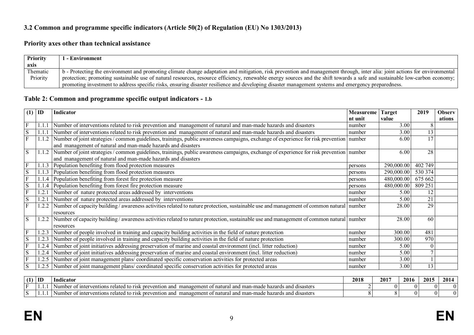# **3.2 Common and programme specific indicators (Article 50(2) of Regulation (EU) No 1303/2013)**

# **Priority axes other than technical assistance**

| <b>Priority</b> | l - Environment                                                                                                                                                            |
|-----------------|----------------------------------------------------------------------------------------------------------------------------------------------------------------------------|
| axis            |                                                                                                                                                                            |
| Thematic        | b - Protecting the environment and promoting climate change adaptation and mitigation, risk prevention and management through, inter alia: joint actions for environmental |
| Priority        | protection; promoting sustainable use of natural resources, resource efficiency, renewable energy sources and the shift towards a safe and sustainable low-carbon economy; |
|                 | promoting investment to address specific risks, ensuring disaster resilience and developing disaster management systems and emergency preparedness.                        |

# **Table 2: Common and programme specific output indicators - 1.b**

| (1)          | ID         | Indicator                                                                                                                                      | <b>Measureme</b> | <b>Target</b> | 2019     | <b>Observ</b> |
|--------------|------------|------------------------------------------------------------------------------------------------------------------------------------------------|------------------|---------------|----------|---------------|
|              |            |                                                                                                                                                | nt unit          | value         |          | ations        |
| F            |            | Number of interventions related to risk prevention and management of natural and man-made hazards and disasters                                | number           | 3.00          | 8        |               |
| S            | 1.1.       | Number of interventions related to risk prevention and management of natural and man-made hazards and disasters                                | number           | 3.00          | 13       |               |
| $\mathbf{F}$ | $1.1.2$    | Number of joint strategies / common guidelines, trainings, public awareness campaigns, exchange of experience for risk prevention   number     |                  | 6.00          | 17       |               |
|              |            | and management of natural and man-made hazards and disasters                                                                                   |                  |               |          |               |
| S            |            | 1.1.2 Number of joint strategies / common guidelines, trainings, public awareness campaigns, exchange of experience for risk prevention number |                  | 6.00          | 28       |               |
|              |            | and management of natural and man-made hazards and disasters                                                                                   |                  |               |          |               |
| $\mathbf{F}$ | 1.1.3      | Population benefiting from flood protection measures                                                                                           | persons          | 290,000.00    | 402 749  |               |
| S            | 1.1.3      | Population benefiting from flood protection measures                                                                                           | persons          | 290,000.00    | 530 374  |               |
| $\mathbf{F}$ |            | Population benefiting from forest fire protection measure                                                                                      | persons          | 480,000.00    | 675 662  |               |
| S            | 1.1.4      | Population benefiting from forest fire protection measure                                                                                      | persons          | 480,000.00    | 809 251  |               |
| $\mathbf{F}$ | $\cdot$ 2. | Number of nature protected areas addressed by interventions                                                                                    | number           | 5.00          | 12       |               |
| ${\bf S}$    | 1.2.       | Number of nature protected areas addressed by interventions                                                                                    | number           | 5.00          | 21       |               |
| F            | 1.2.2      | Number of capacity building/awareness activities related to nature protection, sustainable use and management of common natural number         |                  | 28.00         | 29       |               |
|              |            | resources                                                                                                                                      |                  |               |          |               |
| S            | 1.2.2      | Number of capacity building/awareness activities related to nature protection, sustainable use and management of common natural number         |                  | 28.00         | 60       |               |
|              |            | resources                                                                                                                                      |                  |               |          |               |
|              | 1.2.3      | Number of people involved in training and capacity building activities in the field of nature protection                                       | number           | 300.00        | 481      |               |
| S            | .2.3       | Number of people involved in training and capacity building activities in the field of nature protection                                       | number           | 300.00        | 970      |               |
|              | .2.4       | Number of joint initiatives addressing preservation of marine and coastal environment (incl. litter reduction)                                 | number           | 5.00          | $\theta$ |               |
| S            | .2.4       | Number of joint initiatives addressing preservation of marine and coastal environment (incl. litter reduction)                                 | number           | 5.00          |          |               |
| F            | .2.5       | Number of joint management plans/coordinated specific conservation activities for protected areas                                              | number           | 3.00          |          |               |
| S            | .2.5       | Number of joint management plans/coordinated specific conservation activities for protected areas                                              | number           | 3.00          | 13       |               |

| $\sim$ | ID | Indicator                                                                                                                                                                        | 2018 | 2017 | 2016 | 2015 | 2014 |
|--------|----|----------------------------------------------------------------------------------------------------------------------------------------------------------------------------------|------|------|------|------|------|
|        | .  | ventions re<br>disasters<br>man-1<br>: hazards<br>-to r<br>and<br>and<br>natura<br>O1<br>. inter<br>elated<br>.anager<br>made<br>and<br>evention<br>-01<br>vumbe<br>тн<br>71 S.K |      |      |      |      |      |
|        |    | . ventions related 1<br>. and man-r<br>: hazards<br>disasters<br>a inter<br>and<br>natural<br>made.<br>. to r<br>manager<br>and<br>~<br>evention<br>. OT<br>"ISN                 |      |      |      |      |      |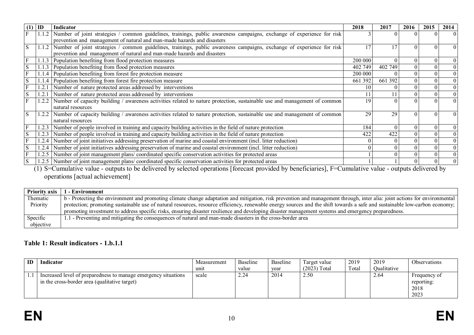| $(1)$ ID |       | Indicator                                                                                                                         | 2018    | 2017    | 2016     | 2015 | 2014     |
|----------|-------|-----------------------------------------------------------------------------------------------------------------------------------|---------|---------|----------|------|----------|
|          |       | 1.1.2 Number of joint strategies / common guidelines, trainings, public awareness campaigns, exchange of experience for risk      |         |         |          |      | $\Omega$ |
|          |       | prevention and management of natural and man-made hazards and disasters                                                           |         |         |          |      |          |
| S        |       | 1.1.2 Number of joint strategies / common guidelines, trainings, public awareness campaigns, exchange of experience for risk      |         |         | $\Omega$ |      | $\Omega$ |
|          |       | prevention and management of natural and man-made hazards and disasters                                                           |         |         |          |      |          |
|          | 1.1.3 | Population benefiting from flood protection measures                                                                              | 200 000 |         | 0        |      | $\Omega$ |
| S        |       | 1.1.3 Population benefiting from flood protection measures                                                                        | 402 749 | 402 749 |          |      | $\Omega$ |
|          |       | Population benefiting from forest fire protection measure                                                                         | 200 000 |         |          |      | $\theta$ |
| S        |       | 1.1.4 Population benefiting from forest fire protection measure                                                                   | 661 392 | 661 392 |          |      | $\theta$ |
|          | 1.2.  | Number of nature protected areas addressed by interventions                                                                       |         |         |          |      | $\Omega$ |
| S        | 1.2.  | Number of nature protected areas addressed by interventions                                                                       |         |         |          |      |          |
|          |       | 1.2.2   Number of capacity building / awareness activities related to nature protection, sustainable use and management of common | 19      |         |          |      | $\Omega$ |
|          |       | natural resources                                                                                                                 |         |         |          |      |          |
|          |       | 1.2.2 Number of capacity building / awareness activities related to nature protection, sustainable use and management of common   | 29      | 29      | $\Omega$ |      | $\Omega$ |
|          |       | natural resources                                                                                                                 |         |         |          |      |          |
|          |       | 1.2.3 Number of people involved in training and capacity building activities in the field of nature protection                    | 184     |         |          |      | $\theta$ |
| S        | 1.2.3 | Number of people involved in training and capacity building activities in the field of nature protection                          | 422     | 422     |          |      | $\Omega$ |
|          |       | 1.2.4 Number of joint initiatives addressing preservation of marine and coastal environment (incl. litter reduction)              |         |         |          |      | $\theta$ |
| S        | 1.2.4 | Number of joint initiatives addressing preservation of marine and coastal environment (incl. litter reduction)                    |         |         |          |      | $\theta$ |
|          | 1.2.5 | Number of joint management plans/coordinated specific conservation activities for protected areas                                 |         |         |          |      |          |
| S        |       | 1.2.5 Number of joint management plans/coordinated specific conservation activities for protected areas                           |         |         |          |      |          |

(1) S=Cumulative value - outputs to be delivered by selected operations [forecast provided by beneficiaries], F=Cumulative value - outputs delivered by operations [actual achievement]

| <b>Priority axis</b> | - Environment                                                                                                                                                              |
|----------------------|----------------------------------------------------------------------------------------------------------------------------------------------------------------------------|
| Thematic             | b - Protecting the environment and promoting climate change adaptation and mitigation, risk prevention and management through, inter alia: joint actions for environmental |
| Priority             | protection; promoting sustainable use of natural resources, resource efficiency, renewable energy sources and the shift towards a safe and sustainable low-carbon economy; |
|                      | promoting investment to address specific risks, ensuring disaster resilience and developing disaster management systems and emergency preparedness.                        |
| Specific             | 1.1 - Preventing and mitigating the consequences of natural and man-made disasters in the cross-border area                                                                |
| objective            |                                                                                                                                                                            |

### **Table 1: Result indicators - 1.b.1.1**

| ID | Indicator                                                      | Measurement | Baseline | Baseline | arget value    | 2019  | 2019         | Observations |
|----|----------------------------------------------------------------|-------------|----------|----------|----------------|-------|--------------|--------------|
|    |                                                                | unit        | value    | vear     | $(2023)$ Total | Total | )ualitative  |              |
|    | Increased level of preparedness to manage emergency situations | scale       | 2.24     | 2014     | 2.50           |       | $\angle .64$ | Frequency of |
|    | in the cross-border area (qualitative target)                  |             |          |          |                |       |              | reporting:   |
|    |                                                                |             |          |          |                |       |              | 2018         |
|    |                                                                |             |          |          |                |       |              | 2023         |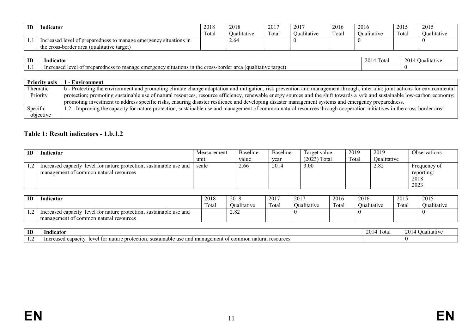| ID | Indicator                                                                                                       | 2018<br>$\sim$<br>Fotal | 2018<br>Oualitative | 2017<br>Total | 2017<br>Oualitative | 2016<br>Fotal | 2016<br>Vualitative | 2015<br>$\sim$<br>Fotal | 2015<br>Qualitative |
|----|-----------------------------------------------------------------------------------------------------------------|-------------------------|---------------------|---------------|---------------------|---------------|---------------------|-------------------------|---------------------|
|    | Increased level of preparedness to manage emergency situations in<br>the cross-border area (qualitative target) |                         | 2.64                |               |                     |               |                     |                         |                     |

| ID | Indicator                                                                                                                                                                                                                | -205<br>1 otal | 201<br>Jualitative |
|----|--------------------------------------------------------------------------------------------------------------------------------------------------------------------------------------------------------------------------|----------------|--------------------|
| .  | e target<br>$\sim$ $\sim$ $\sim$<br>.ualitative *<br>-In<br>-the<br>$\alpha r$<br>$\sim$ $\sim$ $\sim$ $\sim$<br><sub>`</sub> fı∩n⊹<br>manago<br>rde<br>prepar<br>m<br>. anes<br>eme<br>то<br>er m<br>спе<br><b>ICVC</b> |                |                    |

| <b>Priority axis</b> | - Environment                                                                                                                                                              |
|----------------------|----------------------------------------------------------------------------------------------------------------------------------------------------------------------------|
| Thematic             | b - Protecting the environment and promoting climate change adaptation and mitigation, risk prevention and management through, inter alia: joint actions for environmental |
| Priority             | protection; promoting sustainable use of natural resources, resource efficiency, renewable energy sources and the shift towards a safe and sustainable low-carbon economy; |
|                      | promoting investment to address specific risks, ensuring disaster resilience and developing disaster management systems and emergency preparedness.                        |
| Specific             | 1.2 - Improving the capacity for nature protection, sustainable use and management of common natural resources through cooperation initiatives in the cross-border area    |
| objective            |                                                                                                                                                                            |

# **Table 1: Result indicators - 1.b.1.2**

| ID | <b>Indicator</b>                                                    | Measurement | Baseline | Baseline | l'arget value  | 2019  | 2019        | Observations |
|----|---------------------------------------------------------------------|-------------|----------|----------|----------------|-------|-------------|--------------|
|    |                                                                     | unit        | value    | vear     | $(2023)$ Total | Total | Oualitative |              |
|    | Increased capacity level for nature protection, sustainable use and | scale       | 2.66     | 2014     | 3.00           |       | 2.82        | Frequency of |
|    | management of common natural resources                              |             |          |          |                |       |             | reporting:   |
|    |                                                                     |             |          |          |                |       |             | 2018         |
|    |                                                                     |             |          |          |                |       |             | 2023         |

| ID | Indicator                                                                        | 2018  | 2018        | 2017            | 201 <sup>-</sup> | 2016             | 2016        | 2015             | 2015        |
|----|----------------------------------------------------------------------------------|-------|-------------|-----------------|------------------|------------------|-------------|------------------|-------------|
|    |                                                                                  | Гоtal | Jualitative | $\sim$<br>Fotal | Jualitative      | $\sim$<br>l otal | Jualitative | $\sim$<br>l otal | Jualitative |
|    | Increased capacity<br>level<br>. sustainable use and<br>l for nature protection. |       | 2.82        |                 |                  |                  |             |                  |             |
|    | management of common natural resources                                           |       |             |                 |                  |                  |             |                  |             |

| ID | Indicator                                                                                                                                                      | 201<br>1 otal | 2014<br>іантатіv |
|----|----------------------------------------------------------------------------------------------------------------------------------------------------------------|---------------|------------------|
|    | esourc<br>tection.<br>anac.<br>.<br>aσem<br>-susı.<br>nature<br>ommon<br>$^{\small{\textsf{out}}}$<br>- 11S<br>inably<br>n<br>Inc!<br>$\sim$ $\alpha$<br>prote |               |                  |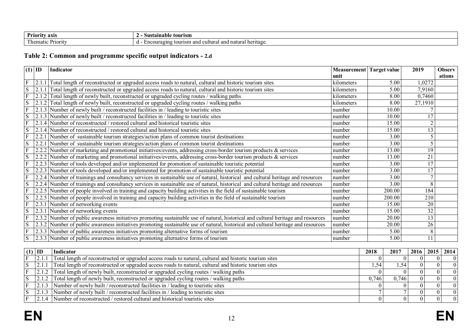| Priority            | tourism                                              |
|---------------------|------------------------------------------------------|
| axıs                | Sustainanie                                          |
| T<br>. ner<br>1V1 1 | ∣heritage<br>and<br>natural<br>.couragin^<br>sm<br>. |

# **Table 2: Common and programme specific output indicators - 2.d**

| $(1)$ ID       |       | <b>Indicator</b>                                                                                                                    | Measurement Target value |                   | 2019            | <b>Observ</b> |
|----------------|-------|-------------------------------------------------------------------------------------------------------------------------------------|--------------------------|-------------------|-----------------|---------------|
|                |       |                                                                                                                                     | unit                     |                   |                 | ations        |
| $\mathbf{F}$   | 2.1.1 | Total length of reconstructed or upgraded access roads to natural, cultural and historic tourism sites                              | kilometers               | 5.00              | 1,0272          |               |
| ${\bf S}$      | 2.1   | Total length of reconstructed or upgraded access roads to natural, cultural and historic tourism sites                              | kilometers               | 5.00              | 7,9160          |               |
| $\overline{F}$ | 2.1.2 | Total length of newly built, reconstructed or upgraded cycling routes / walking paths                                               | kilometers               | 8.00              | 0,7460          |               |
| S              |       | 2.1.2 Total length of newly built, reconstructed or upgraded cycling routes / walking paths                                         | kilometers               | 8.00              | 27,1910         |               |
| F              | 2.1.3 | Number of newly built / reconstructed facilities in / leading to touristic sites                                                    | number                   | 10.00             |                 |               |
| S              |       | [2.1.3] Number of newly built / reconstructed facilities in / leading to touristic sites                                            | number                   | 10.00             | 17              |               |
| $\overline{F}$ |       | 2.1.4 Number of reconstructed / restored cultural and historical touristic sites                                                    | number                   | 15.00             | $\overline{2}$  |               |
| S              | 2.1   | 1.4 Number of reconstructed / restored cultural and historical touristic sites                                                      | number                   | 15.00             | $\overline{13}$ |               |
| F              | 2.2.1 | Number of sustainable tourism strategies/action plans of common tourist destinations                                                | number                   | 3.00              | 5               |               |
| S              | 2.2.1 | Number of sustainable tourism strategies/action plans of common tourist destinations                                                | number                   | 3.00              | 5               |               |
| F              |       | 2.2.2 Number of marketing and promotional initiatives/events, addressing cross-border tourism products & services                   | number                   | 13.00             | 19              |               |
| S              |       | 2.2.2 Number of marketing and promotional initiatives/events, addressing cross-border tourism products & services                   | number                   | 13.00             | 21              |               |
| F              | 2.2.3 | Number of tools developed and/or implemented for promotion of sustainable touristic potential                                       | number                   | 3.00              | 17              |               |
| S              |       | 2.2.3 Number of tools developed and/or implemented for promotion of sustainable touristic potential                                 | number                   | 3.00              | 17              |               |
| $\overline{F}$ |       | 2.2.4 Number of trainings and consultancy services in sustainable use of natural, historical and cultural heritage and resources    | number                   | $\overline{3.00}$ | $\overline{7}$  |               |
| S              |       | 2.2.4 Number of trainings and consultancy services in sustainable use of natural, historical and cultural heritage and resources    | number                   | 3.00              | $\overline{8}$  |               |
| $\mathbf{F}$   |       | 2.2.5 Number of people involved in training and capacity building activities in the field of sustainable tourism                    | number                   | 200.00            | 184             |               |
| S              |       | 2.2.5 Number of people involved in training and capacity building activities in the field of sustainable tourism                    | number                   | 200.00            | 210             |               |
| F              |       | $2.3.1$ Number of networking events                                                                                                 | number                   | 15.00             | 20              |               |
| $\overline{S}$ |       | 2.3.1 Number of networking events                                                                                                   | number                   | 15.00             | $\overline{32}$ |               |
| F              | 2.3.2 | Number of public awareness initiatives promoting sustainable use of natural, historical and cultural heritage and resources         | number                   | 20.00             | $\overline{13}$ |               |
| S              |       | [2.3.2] Number of public awareness initiatives promoting sustainable use of natural, historical and cultural heritage and resources | number                   | 20.00             | 26              |               |
| F              |       | [2.3.3] Number of public awareness initiatives promoting alternative forms of tourism                                               | number                   | 5.00              | $\overline{8}$  |               |
| S              |       | [2.3.3] Number of public awareness initiatives promoting alternative forms of tourism                                               | number                   | 5.00              | $\overline{11}$ |               |
|                |       |                                                                                                                                     |                          |                   |                 |               |

| $(1)$ ID |       | Indicator                                                                                              | 2018  | 2017   | 2016 2015 2014 |          |
|----------|-------|--------------------------------------------------------------------------------------------------------|-------|--------|----------------|----------|
|          | 2.1.1 | Total length of reconstructed or upgraded access roads to natural, cultural and historic tourism sites |       |        |                | $\Omega$ |
|          | 2.1.1 | Total length of reconstructed or upgraded access roads to natural, cultural and historic tourism sites |       |        |                | $\Omega$ |
|          |       | [2.1.2] Total length of newly built, reconstructed or upgraded cycling routes / walking paths          |       |        |                | $\Omega$ |
|          |       | $\sqrt{2.1.2}$ Total length of newly built, reconstructed or upgraded cycling routes / walking paths   | 0.746 | 0.7461 |                | $\Omega$ |
|          |       | 2.1.3 Number of newly built / reconstructed facilities in / leading to touristic sites                 |       |        |                |          |
|          | 2.1.3 | 3 Number of newly built / reconstructed facilities in / leading to touristic sites                     |       |        |                | $\Omega$ |
|          |       | 2.1.4 Number of reconstructed / restored cultural and historical touristic sites                       |       |        |                | $\Omega$ |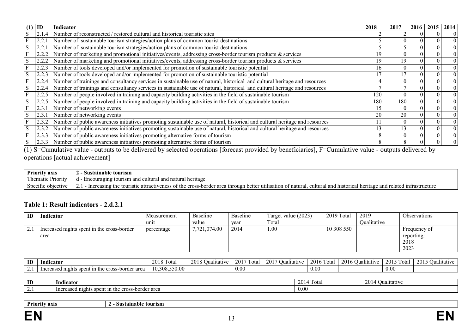| (1) | ID    | Indicator                                                                                                                   | 2018 | 2017     | 2016 | 2015 | 2014           |
|-----|-------|-----------------------------------------------------------------------------------------------------------------------------|------|----------|------|------|----------------|
|     |       | 2.1.4 Number of reconstructed / restored cultural and historical touristic sites                                            |      |          |      |      | $\Omega$       |
|     | 2.2.  | Number of sustainable tourism strategies/action plans of common tourist destinations                                        |      |          |      |      | $\overline{0}$ |
| S   |       | Number of sustainable tourism strategies/action plans of common tourist destinations                                        |      |          |      |      | $\theta$       |
|     | 2.2.2 | Number of marketing and promotional initiatives/events, addressing cross-border tourism products & services                 | 19   |          |      |      | $\overline{0}$ |
|     |       | Number of marketing and promotional initiatives/events, addressing cross-border tourism products & services                 |      | 19       |      |      | $\Omega$       |
|     |       | Number of tools developed and/or implemented for promotion of sustainable touristic potential                               | Iб   |          |      |      | $\Omega$       |
| S   | 2.2.3 | Number of tools developed and/or implemented for promotion of sustainable touristic potential                               |      |          |      |      | $\Omega$       |
|     | 2.2.4 | Number of trainings and consultancy services in sustainable use of natural, historical and cultural heritage and resources  |      |          |      |      | $\Omega$       |
| S   | 2.2.4 | Number of trainings and consultancy services in sustainable use of natural, historical and cultural heritage and resources  |      |          |      |      | $\Omega$       |
|     | 2.2.5 | Number of people involved in training and capacity building activities in the field of sustainable tourism                  | 120  |          |      |      | $\Omega$       |
|     | 2.2.5 | Number of people involved in training and capacity building activities in the field of sustainable tourism                  | 180  | 180      |      |      | $\overline{0}$ |
|     | 2.3.  | Number of networking events                                                                                                 | 15   |          |      |      | $\overline{0}$ |
|     | 2.3.  | Number of networking events                                                                                                 | 20   | 20       |      |      | $\overline{0}$ |
|     | 2.3.2 | Number of public awareness initiatives promoting sustainable use of natural, historical and cultural heritage and resources |      | $\theta$ |      |      | $\overline{0}$ |
| S   | 2.3.2 | Number of public awareness initiatives promoting sustainable use of natural, historical and cultural heritage and resources | 13   | 13       |      |      | $\Omega$       |
|     | 2.3.3 | Number of public awareness initiatives promoting alternative forms of tourism                                               |      | $\theta$ |      |      | $\overline{0}$ |
| S   | 2.3.3 | Number of public awareness initiatives promoting alternative forms of tourism                                               |      | 8        |      |      | $\Omega$       |

 $(1)$  S=Cumulative value - outputs to be delivered by selected operations [forecast provided by beneficiaries], F=Cumulative value - outputs delivered by operations [actual achievement]

| <b>Priority.</b><br>axıs      | tourism :<br>Sustainable                                                                                                                                                                             |
|-------------------------------|------------------------------------------------------------------------------------------------------------------------------------------------------------------------------------------------------|
| $\sim$<br>hematic<br>Priority | cultura<br>and<br>nai<br>tourism<br>՝Չ1Ո⊾<br>wura<br>---------                                                                                                                                       |
| Specific objective            | etter<br>untrastructure<br>$.1$ t t $\sim$<br>cultural<br>and<br>and<br>area<br>. through<br>natural<br>elated<br>e touristic<br>u historical heritage<br>cross-borde<br>creasıng<br>the<br>ΩT<br>аш |

# **Table 1: Result indicators - 2.d.2.1**

| ID | Indicator                                  | Measurement | <b>Baseline</b> | Baseline | Target value (2023) | 2019 Total | 2019        | Observations |
|----|--------------------------------------------|-------------|-----------------|----------|---------------------|------------|-------------|--------------|
|    |                                            | unit        | value           | year     | Fotal               |            | Qualitative |              |
|    | Increased nights spent in the cross-border | percentage  | 7,721,074.00    | 2014     | $00$ .              | 10 308 550 |             | Frequency of |
|    | area                                       |             |                 |          |                     |            |             | reporting:   |
|    |                                            |             |                 |          |                     |            |             | 2018         |
|    |                                            |             |                 |          |                     |            |             | 2023         |

| ID       | $ -$<br>Indicator                                                | $\overline{\phantom{a}}$<br>ንስ 1<br>1 otal<br>zυ | ⊃ualitative<br>-201 | - - -<br>$\sim$<br>20 I<br>t otal | 2017<br>Afivt.<br>'Jualita | $\sim$<br>2016<br>' ota. | 2016<br>Jua II | $ -$<br>201 | 2015<br>≅ialitative |
|----------|------------------------------------------------------------------|--------------------------------------------------|---------------------|-----------------------------------|----------------------------|--------------------------|----------------|-------------|---------------------|
| <u>.</u> | -Inc<br>nights<br>r area<br>cross<br>spent<br>hord<br>rease<br>. | .308.550.00<br>10.                               |                     | $0.00^{\circ}$                    |                            | 0.00                     |                | 0.00        |                     |

| ID | $\blacksquare$                                                  | $2014$ T | <b>20</b>          |
|----|-----------------------------------------------------------------|----------|--------------------|
|    | Indicator                                                       | 1 ota.   | <b>Qualitative</b> |
| .  | spent in<br>: cross-border area<br>Increased<br>the<br>l nights | 0.00     |                    |

| <b>Priority axis</b> | Sustainable tourism<br>L |  |
|----------------------|--------------------------|--|
| H<br>_<br>__<br>___  |                          |  |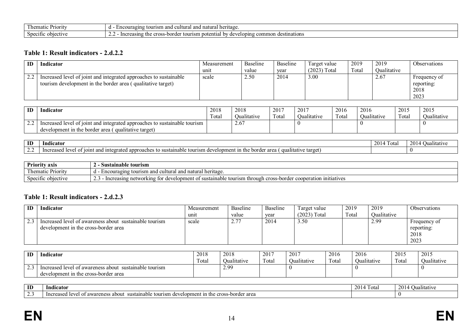| ′riorit<br>$\ldots$ nematic $\vdash$                       | heritage<br>ົ<br>cultural<br><sup>-</sup> าฺo॒ıno<br>วura.<br>. на<br>.<br>.<br>. . |
|------------------------------------------------------------|-------------------------------------------------------------------------------------|
| $\sim$<br>Spee<br>CĦV<br><b>Contract Contract Contract</b> | nations<br>the<br>ommon<br>$\sim$<br>tour<br>-nordei<br>.101<br>ΠĖ<br>ısm.<br>u<br> |

## **Table 1: Result indicators - 2.d.2.2**

| ID     | Indicator                                                                                                                        | Measurement | Baseline | Baseline | Target value   | 2019  | 2019        | Observations                               |
|--------|----------------------------------------------------------------------------------------------------------------------------------|-------------|----------|----------|----------------|-------|-------------|--------------------------------------------|
|        |                                                                                                                                  | unit        | value    | year     | $(2023)$ Total | Total | Oualitative |                                            |
| $\eta$ | Increased level of joint and integrated approaches to sustainable<br>tourism development in the border area (qualitative target) | scale       | 2.50     | 2014     | 3.00           |       | 2.67        | Frequency of<br>reporting:<br>2018<br>2023 |

| ID       | Indicator                                                                 | 2018   | 2018          | 2017  | 2017        | 2016  | 2016        | 2015  | 2015        |
|----------|---------------------------------------------------------------------------|--------|---------------|-------|-------------|-------|-------------|-------|-------------|
|          |                                                                           | I otal | ' )ualitative | Fotal | Oualitative | Fotal | Oualitative | Fotal | Qualitative |
| <u>.</u> | Increased level of joint and integrated approaches to sustainable tourism |        | 2.6           |       |             |       |             |       |             |
|          | aualitative target)<br>development in the border area                     |        |               |       |             |       |             |       |             |

| ID                            | Indicator                                                                                                                                                      | 201<br>1 otal | walitati <i>r</i><br>- 71 1 1 |
|-------------------------------|----------------------------------------------------------------------------------------------------------------------------------------------------------------|---------------|-------------------------------|
| $\overline{\phantom{a}}$<br>. | $+ \sim +$<br>area<br>dualita.<br>SUS1<br>$\sim$ $\sim$ $\sim$<br>ın<br>101 nt<br>iable<br>`rπ≏.<br>aloph<br>n.<br>appr<br>mac<br>.<br>. .<br>. اسا کے ا<br>.u |               |                               |

| Priority<br>axı:                | Sustainable tourism                                                                                                                        |
|---------------------------------|--------------------------------------------------------------------------------------------------------------------------------------------|
| $-1$<br>l hematıc<br>. Priority | ™^! heritaoe<br>and natı<br><b>Encour</b><br>cultural<br>uraging<br>⊤tou<br>ırısm and<br>andi humasu<br><br>. .                            |
| Specific<br>objective           | . cross-border<br>initiatives<br>tour<br>ainable<br>networking for<br>ารm through<br>cooperation<br>e development ol<br>ereasır<br>su:<br> |

# **Table 1: Result indicators - 2.d.2.3**

| ID | Indicator                                                                                      | Measurement | Baseline     | Baseline | Target value   | 2019  | 2019        | <b>Observations</b>                        |
|----|------------------------------------------------------------------------------------------------|-------------|--------------|----------|----------------|-------|-------------|--------------------------------------------|
|    |                                                                                                | unit        | value        | year     | $(2023)$ Total | Total | Oualitative |                                            |
|    | Increased level of awareness about sustainable tourism<br>development in the cross-border area | scale       | <u>، ، ،</u> | 2014     | 3.50           |       | 2.99        | Frequency of<br>reporting:<br>2018<br>2023 |

| ID | Indicator                                                                                         | 2018<br>Fotal | 2018<br>$-1$ . The set of $\sim$<br>Jualitative | 2017<br>$\mathbf{r}$<br>Total | 2017<br>Oualitative | 2016<br>$\overline{\phantom{a}}$<br>l otal | 2016<br><b>Dualitative</b> | 2015<br>Total | 2015<br>Qualitative |
|----|---------------------------------------------------------------------------------------------------|---------------|-------------------------------------------------|-------------------------------|---------------------|--------------------------------------------|----------------------------|---------------|---------------------|
|    | Increased level of awareness about<br>sustainable tourism<br>development in the cross-border area |               | 2.99                                            |                               |                     |                                            |                            |               |                     |

| ID | Indicator                                                                                                                                                                         | 20 L<br>ι οι α | Jualitativ |
|----|-----------------------------------------------------------------------------------------------------------------------------------------------------------------------------------|----------------|------------|
| -- | border area<br>------<br>about<br>ıstaına<br>eross<br>$\sim$<br>wareness<br>: tou<br>m<br><u>aa</u><br>omeni<br>'ISITI<br>.<br>$\mathbf{u} \cdot \mathbf{v}$<br>$\cdot$ , $\cdot$ |                |            |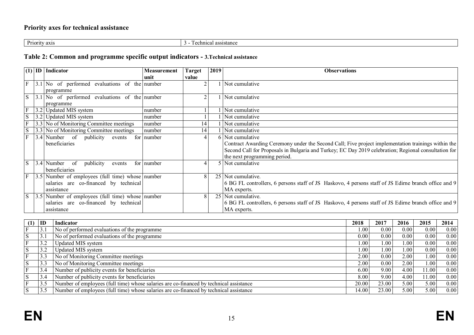# **Priority axes for technical assistance**

Priority axis 3 - Technical assistance

# **Table 2: Common and programme specific output indicators - 3.Technical assistance**

|                | $(1)$ ID Indicator                                 | <b>Measurement</b> | <b>Target</b> | 2019            | <b>Observations</b>                                                                                  |
|----------------|----------------------------------------------------|--------------------|---------------|-----------------|------------------------------------------------------------------------------------------------------|
|                |                                                    | unit               | value         |                 |                                                                                                      |
| $\overline{F}$ | $3.1$ No of performed evaluations of the number    |                    | $\sim$        |                 | Not cumulative                                                                                       |
|                | programme                                          |                    |               |                 |                                                                                                      |
| S              | $ 3.1 $ No of performed evaluations of the number  |                    |               |                 | Not cumulative                                                                                       |
|                | programme                                          |                    |               |                 |                                                                                                      |
|                | 3.2 Updated MIS system                             | number             |               |                 | Not cumulative                                                                                       |
| S              | 3.2 Updated MIS system                             | number             |               |                 | Not cumulative                                                                                       |
|                | 3.3 No of Monitoring Committee meetings            | number             | 14            |                 | Not cumulative                                                                                       |
| S              | 3.3 No of Monitoring Committee meetings            | number             | 14            |                 | Not cumulative                                                                                       |
| $\mathbf{F}$   | $\left 3.4\right $ Number of publicity<br>events   | for number         |               |                 | 6 Not cumulative                                                                                     |
|                | beneficiaries                                      |                    |               |                 | Contract Awarding Ceremony under the Second Call; Five project implementation trainings within the   |
|                |                                                    |                    |               |                 | Second Call for Proposals in Bulgaria and Turkey, EC Day 2019 celebration; Regional consultation for |
|                |                                                    |                    |               |                 | the next programming period.                                                                         |
| S              | $3.4$ Number of<br>publicity<br>events             | for number         |               |                 | Not cumulative                                                                                       |
|                | beneficiaries                                      |                    |               |                 |                                                                                                      |
|                | [3.5] Number of employees (full time) whose number |                    | 8             | 25 <sub>1</sub> | Not cumulative.                                                                                      |
|                | salaries are co-financed by technical              |                    |               |                 | 6 BG FL controllers, 6 persons staff of JS Haskovo, 4 persons staff of JS Edirne branch office and 9 |
|                | assistance                                         |                    |               |                 | MA experts.                                                                                          |
| <sub>S</sub>   | [3.5] Number of employees (full time) whose number |                    | 8             | 25              | Not cumulative.                                                                                      |
|                | salaries are co-financed by technical              |                    |               |                 | 6 BG FL controllers, 6 persons staff of JS Haskovo, 4 persons staff of JS Edirne branch office and 9 |
|                | assistance                                         |                    |               |                 | MA experts.                                                                                          |

| (1) | ID               | Indicator                                                                              | 2018  | 2017              | 2016              | 2015  | 2014 |
|-----|------------------|----------------------------------------------------------------------------------------|-------|-------------------|-------------------|-------|------|
| Е   | 3.1              | No of performed evaluations of the programme                                           | 00.1  | 0.00              | 0.00 <sub>1</sub> | 0.00  | 0.00 |
| S   | $\mathfrak{I}$ . | No of performed evaluations of the programme                                           | 0.00  | 0.00              | 0.00 <sub>1</sub> | 0.00  | 0.00 |
|     | 3.2              | Updated MIS system                                                                     | 00.1  | 00.               | 1.00 <sub>1</sub> | 0.00  | 0.00 |
| S   | 3.2              | <b>Updated MIS system</b>                                                              | 00.1  | 00.1              | 1.00 <sub>1</sub> | 0.00  | 0.00 |
| F   | 3.3              | No of Monitoring Committee meetings                                                    | 2.00  | 0.00 <sub>l</sub> | 2.00              | 00.   | 0.00 |
| S   | 3.3              | No of Monitoring Committee meetings                                                    | 2.00  | 0.00              | 2.00              | 00.1  | 0.00 |
| Е   | 3.4              | Number of publicity events for beneficiaries                                           | 6.00  | 9.00              | 4.00              | 11.00 | 0.00 |
| S   | 3.4              | Number of publicity events for beneficiaries                                           | 8.00  | 9.00              | 4.00              | 11.00 | 0.00 |
|     | 3.5              | Number of employees (full time) whose salaries are co-financed by technical assistance | 20.00 | 23.00             | 5.00              | 5.00  | 0.00 |
| S   | 3.5              | Number of employees (full time) whose salaries are co-financed by technical assistance | 4.00  | 23.00             | 5.00              | 5.00  | 0.00 |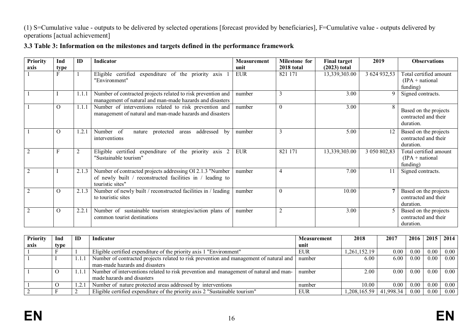# (1) S=Cumulative value - outputs to be delivered by selected operations [forecast provided by beneficiaries], F=Cumulative value - outputs delivered by operations [actual achievement]

# **3.3 Table 3: Information on the milestones and targets defined in the performance framework**

| <b>Priority</b><br>axis | Ind<br>type | ID    | Indicator                                                                                                                                  | <b>Measurement</b><br>unit | <b>Milestone for</b><br>2018 total | <b>Final target</b><br>$(2023)$ total | 2019         | <b>Observations</b>                                        |
|-------------------------|-------------|-------|--------------------------------------------------------------------------------------------------------------------------------------------|----------------------------|------------------------------------|---------------------------------------|--------------|------------------------------------------------------------|
|                         |             |       | Eligible certified expenditure of the priority axis<br>"Environment"                                                                       | <b>EUR</b>                 | 821 171                            | 13,339,303.00                         | 3 624 932,53 | Total certified amount<br>$(IPA + national)$<br>funding)   |
|                         |             | 1.1.1 | Number of contracted projects related to risk prevention and<br>management of natural and man-made hazards and disasters                   | number                     | 3                                  | 3.00                                  | 9            | Signed contracts.                                          |
|                         | $\Omega$    | 1.1.1 | Number of interventions related to risk prevention and<br>management of natural and man-made hazards and disasters                         | number                     | $\boldsymbol{0}$                   | 3.00                                  |              | Based on the projects<br>contracted and their<br>duration. |
|                         | $\Omega$    | 1.2.1 | Number of<br>addressed<br>protected<br>nature<br>by<br>areas<br>interventions                                                              | number                     | 3                                  | 5.00                                  | 12           | Based on the projects<br>contracted and their<br>duration. |
|                         |             |       | Eligible certified expenditure of the priority axis 2<br>"Sustainable tourism"                                                             | <b>EUR</b>                 | 821 171                            | 13,339,303.00                         | 3 050 802,83 | Total certified amount<br>$(IPA + national)$<br>funding)   |
|                         |             | 2.1.3 | Number of contracted projects addressing OI 2.1.3 "Number<br>of newly built / reconstructed facilities in / leading to<br>touristic sites" | number                     | 4                                  | 7.00                                  |              | Signed contracts.                                          |
|                         | $\Omega$    | 2.1.3 | Number of newly built / reconstructed facilities in / leading<br>to touristic sites                                                        | number                     | $\theta$                           | 10.00                                 | 7            | Based on the projects<br>contracted and their<br>duration. |
|                         | $\Omega$    | 2.2.1 | Number of sustainable tourism strategies/action plans of<br>common tourist destinations                                                    | number                     | $\overline{2}$                     | 3.00                                  |              | Based on the projects<br>contracted and their<br>duration. |

| Priority | Ind  | ID | <b>Indicator</b>                                                                       | Measurement | 2018         | 2017      | 2016 | 2015 | 2014     |
|----------|------|----|----------------------------------------------------------------------------------------|-------------|--------------|-----------|------|------|----------|
| axis     | type |    |                                                                                        | unit        |              |           |      |      |          |
|          |      |    | Eligible certified expenditure of the priority axis 1 "Environment"                    | <b>EUR</b>  | 1,261,152.19 | 0.00      | 0.00 | 0.00 | $0.00\,$ |
|          |      |    | Number of contracted projects related to risk prevention and management of natural and | number      | 6.00         | 6.00      | 0.00 | 0.00 | 0.00     |
|          |      |    | man-made hazards and disasters                                                         |             |              |           |      |      |          |
|          |      |    | Number of interventions related to risk prevention and management of natural and man-  | number      | 2.00         | 0.00      | 0.00 | 0.00 | 0.00     |
|          |      |    | made hazards and disasters                                                             |             |              |           |      |      |          |
|          |      |    | Number of nature protected areas addressed by interventions                            | number      | 10.00        | 0.00      | 0.00 | 0.00 | $0.00\,$ |
|          |      |    | Eligible certified expenditure of the priority axis 2 "Sustainable tourism"            | <b>EUR</b>  | 1,208,165.59 | 41.998.34 | 0.00 | 0.00 | $0.00\,$ |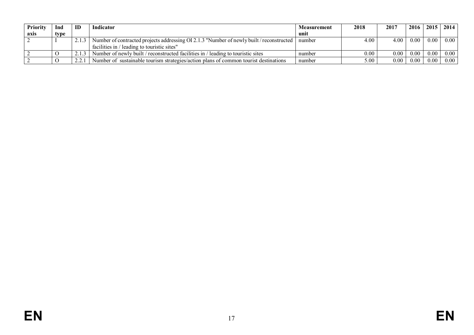| Priority | Ind  | ID | Indicator                                                                                | <b>Measurement</b> | 2018              | 2017      | 2016 | 2015 | 2014 |
|----------|------|----|------------------------------------------------------------------------------------------|--------------------|-------------------|-----------|------|------|------|
| axis     | type |    |                                                                                          | unit               |                   |           |      |      |      |
|          |      |    | Number of contracted projects addressing OI 2.1.3 "Number of newly built / reconstructed | number             | 4.00              | 4.00      | 0.00 | 0.00 | 0.00 |
|          |      |    | facilities in / leading to touristic sites"                                              |                    |                   |           |      |      |      |
|          |      |    | Number of newly built / reconstructed facilities in / leading to touristic sites         | number             | $0.00\,$          | 0.00      | 0.00 | 0.00 | 0.00 |
|          |      | ົ່ | Number of sustainable tourism strategies/action plans of common tourist destinations     | number             | 5.00 <sub>1</sub> | $_{0.00}$ | 0.00 | 0.00 | 0.00 |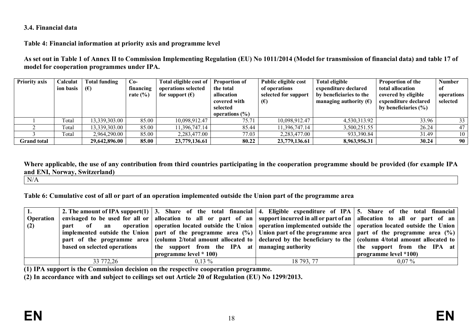### **3.4. Financial data**

## **Table 4: Financial information at priority axis and programme level**

**As set out in Table 1 of Annex II to Commission Implementing Regulation (EU) No 1011/2014 (Model for transmission of financial data) and table 17 of model for cooperation programmes under IPA.**

| <b>Priority axis</b> | Calculat  | <b>Total funding</b> | $Co-$        | Total eligible cost of   | <b>Proportion of</b> | Public eligible cost | <b>Total eligible</b>           | <b>Proportion of the</b> | <b>Number</b> |
|----------------------|-----------|----------------------|--------------|--------------------------|----------------------|----------------------|---------------------------------|--------------------------|---------------|
|                      | ion basis | $(\epsilon)$         | financing    | operations selected      | the total            | of operations        | expenditure declared            | total allocation         | of            |
|                      |           |                      | rate $(\% )$ | for support $(\epsilon)$ | allocation           | selected for support | by beneficiaries to the         | covered by eligible      | operations    |
|                      |           |                      |              |                          | covered with         | $(\epsilon)$         | managing authority $(\epsilon)$ | expenditure declared     | selected      |
|                      |           |                      |              |                          | selected             |                      |                                 | by beneficiaries $(\% )$ |               |
|                      |           |                      |              |                          | operations $(\% )$   |                      |                                 |                          |               |
|                      | Total     | 13,339,303.00        | 85.00        | 10,098,912.47            | 75.71                | 10,098,912.47        | 4,530,313.92                    | 33.96                    | 33            |
|                      | Total     | 13,339,303.00        | 85.00        | 11,396,747.14            | 85.44                | 11,396,747.14        | 3,500,251.55                    | 26.24                    | 47            |
|                      | Total     | 2,964,290.00         | 85.00        | 2,283,477.00             | 77.03                | 2,283,477.00         | 933,390.84                      | 31.49                    | 10            |
| <b>Grand</b> total   |           | 29,642,896.00        | 85.00        | 23,779,136.61            | 80.22                | 23,779,136.61        | 8,963,956.31                    | 30.24                    | 90            |

**Where applicable, the use of any contribution from third countries participating in the cooperation programme should be provided (for example IPA and ENI, Norway, Switzerland)**

N/A

**Table 6: Cumulative cost of all or part of an operation implemented outside the Union part of the programme area**

|                  |                              |                                                |            | 2. The amount of IPA support(1) 3. Share of the total financial 4. Eligible expenditure of IPA 5. Share of the total financial                               |
|------------------|------------------------------|------------------------------------------------|------------|--------------------------------------------------------------------------------------------------------------------------------------------------------------|
| <b>Operation</b> |                              |                                                |            | envisaged to be used for all or $\vert$ allocation to all or part of an supportineurred in all or part of an $\vert$ allocation to all or part of an $\vert$ |
| (2)              |                              |                                                |            | part of an operation operation located outside the Union operation implemented outside the operation located outside the Union                               |
|                  |                              |                                                |            | implemented outside the Union   part of the programme area $(\%)$   Union part of the programme area   part of the programme area $(\%)$                     |
|                  | part of the programme area   |                                                |            | (column 2/total amount allocated to $\vert$ declared by the beneficiary to the $\vert$ (column 4/total amount allocated to $\vert$                           |
|                  | based on selected operations | the support from the IPA at managing authority |            | the support from the IPA at                                                                                                                                  |
|                  |                              | programme level * 100)                         |            | programme level *100)                                                                                                                                        |
|                  | 33 772,26                    | $0.13\%$                                       | 18 793, 77 | $0.07\%$                                                                                                                                                     |

**(1) IPA support is the Commission decision on the respective cooperation programme.**

**(2) In accordance with and subject to ceilings set out Article 20 of Regulation (EU) No 1299/2013.**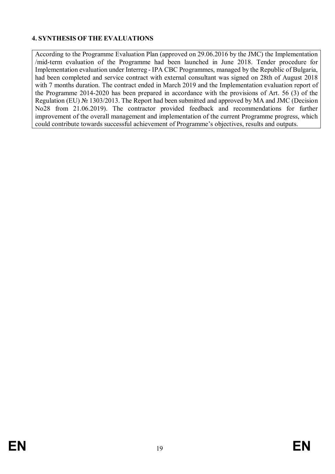# **4. SYNTHESIS OF THE EVALUATIONS**

According to the Programme Evaluation Plan (approved on 29.06.2016 by the JMC) the Implementation /mid-term evaluation of the Programme had been launched in June 2018. Tender procedure for Implementation evaluation under Interreg - IPA CBC Programmes, managed by the Republic of Bulgaria, had been completed and service contract with external consultant was signed on 28th of August 2018 with 7 months duration. The contract ended in March 2019 and the Implementation evaluation report of the Programme 2014-2020 has been prepared in accordance with the provisions of Art. 56 (3) of the Regulation (EU) № 1303/2013. The Report had been submitted and approved by MA and JMC (Decision No28 from 21.06.2019). The contractor provided feedback and recommendations for further improvement of the overall management and implementation of the current Programme progress, which could contribute towards successful achievement of Programme's objectives, results and outputs.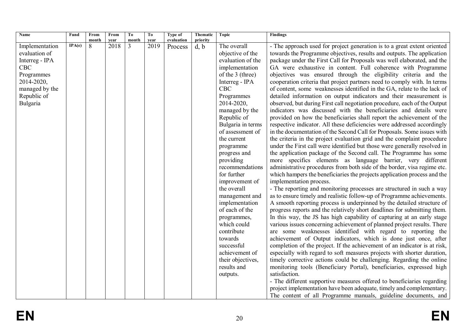| Name           | Fund   | From         | From | To             | To   | Type of    | Thematic | <b>Topic</b>      | <b>Findings</b>                                                           |
|----------------|--------|--------------|------|----------------|------|------------|----------|-------------------|---------------------------------------------------------------------------|
|                |        | $\bf{month}$ | year | month          | vear | evaluation | priority |                   |                                                                           |
| Implementation | IPA(e) | 8            | 2018 | $\overline{3}$ | 2019 | Process    | d, b     | The overall       | - The approach used for project generation is to a great extent oriented  |
| evaluation of  |        |              |      |                |      |            |          | objective of the  | towards the Programme objectives, results and outputs. The application    |
| Interreg - IPA |        |              |      |                |      |            |          | evaluation of the | package under the First Call for Proposals was well elaborated, and the   |
| <b>CBC</b>     |        |              |      |                |      |            |          | implementation    | GA were exhaustive in content. Full coherence with Programme              |
| Programmes     |        |              |      |                |      |            |          | of the 3 (three)  | objectives was ensured through the eligibility criteria and the           |
| 2014-2020,     |        |              |      |                |      |            |          | Interreg - IPA    | cooperation criteria that project partners need to comply with. In terms  |
| managed by the |        |              |      |                |      |            |          | <b>CBC</b>        | of content, some weaknesses identified in the GA, relate to the lack of   |
| Republic of    |        |              |      |                |      |            |          | Programmes        | detailed information on output indicators and their measurement is        |
| Bulgaria       |        |              |      |                |      |            |          | 2014-2020,        | observed, but during First call negotiation procedure, each of the Output |
|                |        |              |      |                |      |            |          | managed by the    | indicators was discussed with the beneficiaries and details were          |
|                |        |              |      |                |      |            |          | Republic of       | provided on how the beneficiaries shall report the achievement of the     |
|                |        |              |      |                |      |            |          | Bulgaria in terms | respective indicator. All these deficiencies were addressed accordingly   |
|                |        |              |      |                |      |            |          | of assessment of  | in the documentation of the Second Call for Proposals. Some issues with   |
|                |        |              |      |                |      |            |          | the current       | the criteria in the project evaluation grid and the complaint procedure   |
|                |        |              |      |                |      |            |          | programme         | under the First call were identified but those were generally resolved in |
|                |        |              |      |                |      |            |          | progress and      | the application package of the Second call. The Programme has some        |
|                |        |              |      |                |      |            |          | providing         | more specifics elements as language barrier, very different               |
|                |        |              |      |                |      |            |          | recommendations   | administrative procedures from both side of the border, visa regime etc.  |
|                |        |              |      |                |      |            |          | for further       | which hampers the beneficiaries the projects application process and the  |
|                |        |              |      |                |      |            |          | improvement of    | implementation process.                                                   |
|                |        |              |      |                |      |            |          | the overall       | - The reporting and monitoring processes are structured in such a way     |
|                |        |              |      |                |      |            |          | management and    | as to ensure timely and realistic follow-up of Programme achievements.    |
|                |        |              |      |                |      |            |          | implementation    | A smooth reporting process is underpinned by the detailed structure of    |
|                |        |              |      |                |      |            |          | of each of the    | progress reports and the relatively short deadlines for submitting them.  |
|                |        |              |      |                |      |            |          | programmes,       | In this way, the JS has high capability of capturing at an early stage    |
|                |        |              |      |                |      |            |          | which could       | various issues concerning achievement of planned project results. There   |
|                |        |              |      |                |      |            |          | contribute        | are some weaknesses identified with regard to reporting the               |
|                |        |              |      |                |      |            |          | towards           | achievement of Output indicators, which is done just once, after          |
|                |        |              |      |                |      |            |          | successful        | completion of the project. If the achievement of an indicator is at risk, |
|                |        |              |      |                |      |            |          | achievement of    | especially with regard to soft measures projects with shorter duration,   |
|                |        |              |      |                |      |            |          | their objectives, | timely corrective actions could be challenging. Regarding the online      |
|                |        |              |      |                |      |            |          | results and       | monitoring tools (Beneficiary Portal), beneficiaries, expressed high      |
|                |        |              |      |                |      |            |          | outputs.          | satisfaction.                                                             |
|                |        |              |      |                |      |            |          |                   | - The different supportive measures offered to beneficiaries regarding    |
|                |        |              |      |                |      |            |          |                   | project implementation have been adequate, timely and complementary.      |
|                |        |              |      |                |      |            |          |                   | The content of all Programme manuals, guideline documents, and            |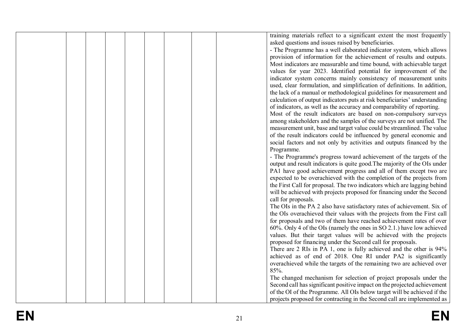|  |  |  |  | training materials reflect to a significant extent the most frequently     |  |
|--|--|--|--|----------------------------------------------------------------------------|--|
|  |  |  |  | asked questions and issues raised by beneficiaries.                        |  |
|  |  |  |  | - The Programme has a well elaborated indicator system, which allows       |  |
|  |  |  |  | provision of information for the achievement of results and outputs.       |  |
|  |  |  |  | Most indicators are measurable and time bound, with achievable target      |  |
|  |  |  |  |                                                                            |  |
|  |  |  |  | values for year 2023. Identified potential for improvement of the          |  |
|  |  |  |  | indicator system concerns mainly consistency of measurement units          |  |
|  |  |  |  | used, clear formulation, and simplification of definitions. In addition,   |  |
|  |  |  |  | the lack of a manual or methodological guidelines for measurement and      |  |
|  |  |  |  | calculation of output indicators puts at risk beneficiaries' understanding |  |
|  |  |  |  | of indicators, as well as the accuracy and comparability of reporting.     |  |
|  |  |  |  | Most of the result indicators are based on non-compulsory surveys          |  |
|  |  |  |  | among stakeholders and the samples of the surveys are not unified. The     |  |
|  |  |  |  | measurement unit, base and target value could be streamlined. The value    |  |
|  |  |  |  | of the result indicators could be influenced by general economic and       |  |
|  |  |  |  | social factors and not only by activities and outputs financed by the      |  |
|  |  |  |  | Programme.                                                                 |  |
|  |  |  |  | - The Programme's progress toward achievement of the targets of the        |  |
|  |  |  |  |                                                                            |  |
|  |  |  |  | output and result indicators is quite good. The majority of the OIs under  |  |
|  |  |  |  | PA1 have good achievement progress and all of them except two are          |  |
|  |  |  |  | expected to be overachieved with the completion of the projects from       |  |
|  |  |  |  | the First Call for proposal. The two indicators which are lagging behind   |  |
|  |  |  |  | will be achieved with projects proposed for financing under the Second     |  |
|  |  |  |  | call for proposals.                                                        |  |
|  |  |  |  | The OIs in the PA 2 also have satisfactory rates of achievement. Six of    |  |
|  |  |  |  | the OIs overachieved their values with the projects from the First call    |  |
|  |  |  |  | for proposals and two of them have reached achievement rates of over       |  |
|  |  |  |  | $60\%$ . Only 4 of the OIs (namely the ones in SO 2.1.) have low achieved  |  |
|  |  |  |  | values. But their target values will be achieved with the projects         |  |
|  |  |  |  | proposed for financing under the Second call for proposals.                |  |
|  |  |  |  | There are 2 RIs in PA 1, one is fully achieved and the other is 94%        |  |
|  |  |  |  | achieved as of end of 2018. One RI under PA2 is significantly              |  |
|  |  |  |  | overachieved while the targets of the remaining two are achieved over      |  |
|  |  |  |  |                                                                            |  |
|  |  |  |  | 85%.                                                                       |  |
|  |  |  |  | The changed mechanism for selection of project proposals under the         |  |
|  |  |  |  | Second call has significant positive impact on the projected achievement   |  |
|  |  |  |  | of the OI of the Programme. All OIs below target will be achieved if the   |  |
|  |  |  |  | projects proposed for contracting in the Second call are implemented as    |  |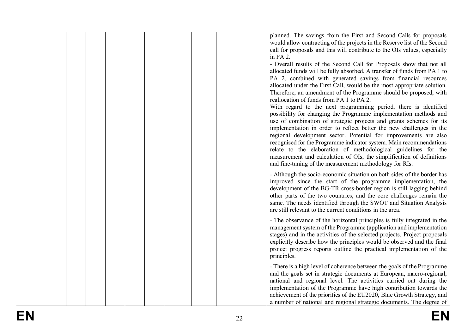|  |  |  |  | planned. The savings from the First and Second Calls for proposals<br>would allow contracting of the projects in the Reserve list of the Second<br>call for proposals and this will contribute to the OIs values, especially<br>in PA 2.<br>- Overall results of the Second Call for Proposals show that not all<br>allocated funds will be fully absorbed. A transfer of funds from PA 1 to<br>PA 2, combined with generated savings from financial resources<br>allocated under the First Call, would be the most appropriate solution.<br>Therefore, an amendment of the Programme should be proposed, with<br>reallocation of funds from PA 1 to PA 2.<br>With regard to the next programming period, there is identified<br>possibility for changing the Programme implementation methods and<br>use of combination of strategic projects and grants schemes for its<br>implementation in order to reflect better the new challenges in the<br>regional development sector. Potential for improvements are also<br>recognised for the Programme indicator system. Main recommendations<br>relate to the elaboration of methodological guidelines for the<br>measurement and calculation of OIs, the simplification of definitions<br>and fine-tuning of the measurement methodology for RIs. |
|--|--|--|--|---------------------------------------------------------------------------------------------------------------------------------------------------------------------------------------------------------------------------------------------------------------------------------------------------------------------------------------------------------------------------------------------------------------------------------------------------------------------------------------------------------------------------------------------------------------------------------------------------------------------------------------------------------------------------------------------------------------------------------------------------------------------------------------------------------------------------------------------------------------------------------------------------------------------------------------------------------------------------------------------------------------------------------------------------------------------------------------------------------------------------------------------------------------------------------------------------------------------------------------------------------------------------------------------------|
|  |  |  |  | - Although the socio-economic situation on both sides of the border has<br>improved since the start of the programme implementation, the<br>development of the BG-TR cross-border region is still lagging behind<br>other parts of the two countries, and the core challenges remain the<br>same. The needs identified through the SWOT and Situation Analysis<br>are still relevant to the current conditions in the area.                                                                                                                                                                                                                                                                                                                                                                                                                                                                                                                                                                                                                                                                                                                                                                                                                                                                       |
|  |  |  |  | - The observance of the horizontal principles is fully integrated in the<br>management system of the Programme (application and implementation<br>stages) and in the activities of the selected projects. Project proposals<br>explicitly describe how the principles would be observed and the final<br>project progress reports outline the practical implementation of the<br>principles.                                                                                                                                                                                                                                                                                                                                                                                                                                                                                                                                                                                                                                                                                                                                                                                                                                                                                                      |
|  |  |  |  | - There is a high level of coherence between the goals of the Programme<br>and the goals set in strategic documents at European, macro-regional,<br>national and regional level. The activities carried out during the<br>implementation of the Programme have high contribution towards the<br>achievement of the priorities of the EU2020, Blue Growth Strategy, and<br>a number of national and regional strategic documents. The degree of                                                                                                                                                                                                                                                                                                                                                                                                                                                                                                                                                                                                                                                                                                                                                                                                                                                    |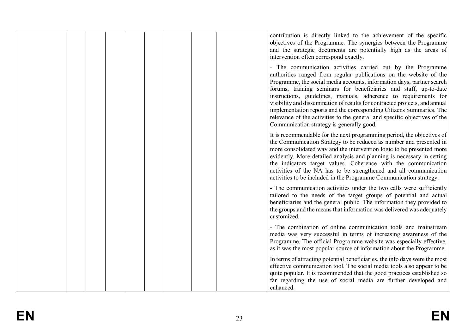|  |  |  |  | contribution is directly linked to the achievement of the specific<br>objectives of the Programme. The synergies between the Programme<br>and the strategic documents are potentially high as the areas of<br>intervention often correspond exactly.                                                                                                                                                                                                                                                                                                                                                                                  |
|--|--|--|--|---------------------------------------------------------------------------------------------------------------------------------------------------------------------------------------------------------------------------------------------------------------------------------------------------------------------------------------------------------------------------------------------------------------------------------------------------------------------------------------------------------------------------------------------------------------------------------------------------------------------------------------|
|  |  |  |  | - The communication activities carried out by the Programme<br>authorities ranged from regular publications on the website of the<br>Programme, the social media accounts, information days, partner search<br>forums, training seminars for beneficiaries and staff, up-to-date<br>instructions, guidelines, manuals, adherence to requirements for<br>visibility and dissemination of results for contracted projects, and annual<br>implementation reports and the corresponding Citizens Summaries. The<br>relevance of the activities to the general and specific objectives of the<br>Communication strategy is generally good. |
|  |  |  |  | It is recommendable for the next programming period, the objectives of<br>the Communication Strategy to be reduced as number and presented in<br>more consolidated way and the intervention logic to be presented more<br>evidently. More detailed analysis and planning is necessary in setting<br>the indicators target values. Coherence with the communication<br>activities of the NA has to be strengthened and all communication<br>activities to be included in the Programme Communication strategy.                                                                                                                         |
|  |  |  |  | - The communication activities under the two calls were sufficiently<br>tailored to the needs of the target groups of potential and actual<br>beneficiaries and the general public. The information they provided to<br>the groups and the means that information was delivered was adequately<br>customized.                                                                                                                                                                                                                                                                                                                         |
|  |  |  |  | - The combination of online communication tools and mainstream<br>media was very successful in terms of increasing awareness of the<br>Programme. The official Programme website was especially effective,<br>as it was the most popular source of information about the Programme.                                                                                                                                                                                                                                                                                                                                                   |
|  |  |  |  | In terms of attracting potential beneficiaries, the info days were the most<br>effective communication tool. The social media tools also appear to be<br>quite popular. It is recommended that the good practices established so<br>far regarding the use of social media are further developed and<br>enhanced.                                                                                                                                                                                                                                                                                                                      |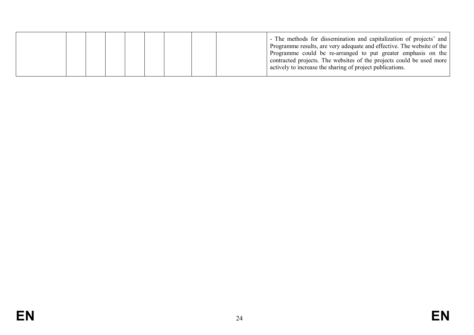|  |  |  |  |  |  |  |  | - The methods for dissemination and capitalization of projects' and  <br>Programme results, are very adequate and effective. The website of the<br>Programme could be re-arranged to put greater emphasis on the<br>contracted projects. The websites of the projects could be used more<br>actively to increase the sharing of project publications. |
|--|--|--|--|--|--|--|--|-------------------------------------------------------------------------------------------------------------------------------------------------------------------------------------------------------------------------------------------------------------------------------------------------------------------------------------------------------|
|--|--|--|--|--|--|--|--|-------------------------------------------------------------------------------------------------------------------------------------------------------------------------------------------------------------------------------------------------------------------------------------------------------------------------------------------------------|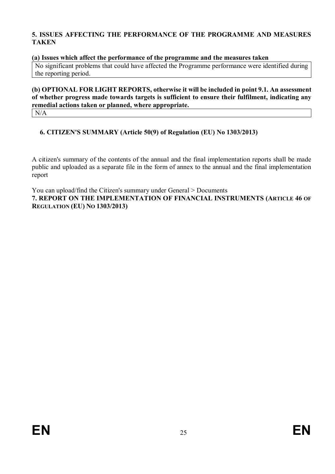# **5. ISSUES AFFECTING THE PERFORMANCE OF THE PROGRAMME AND MEASURES TAKEN**

#### **(a) Issues which affect the performance of the programme and the measures taken**

No significant problems that could have affected the Programme performance were identified during the reporting period.

# **(b) OPTIONAL FOR LIGHT REPORTS, otherwise it will be included in point 9.1. An assessment of whether progress made towards targets is sufficient to ensure their fulfilment, indicating any remedial actions taken or planned, where appropriate.**

N/A

# **6. CITIZEN'S SUMMARY (Article 50(9) of Regulation (EU) No 1303/2013)**

A citizen's summary of the contents of the annual and the final implementation reports shall be made public and uploaded as a separate file in the form of annex to the annual and the final implementation report

You can upload/find the Citizen's summary under General > Documents **7. REPORT ON THE IMPLEMENTATION OF FINANCIAL INSTRUMENTS (ARTICLE 46 OF REGULATION (EU) NO 1303/2013)**

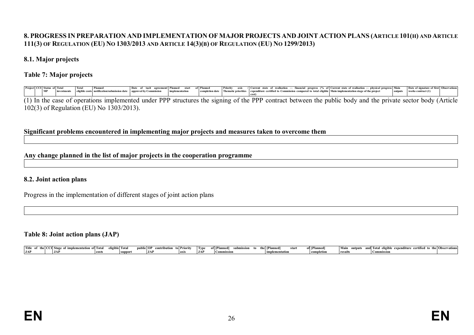# 8. PROGRESS IN PREPARATION AND IMPLEMENTATION OF MAJOR PROJECTS AND JOINT ACTION PLANS (ARTICLE 101(H) AND ARTICLE 111(3) OF REGULATION (EU) NO 1303/2013 AND ARTICLE 14(3)(B) OF REGULATION (EU) NO 1299/2013)

#### **8.1. Major projects**

#### **Table 7: Major projects**

|  | Project CCI Status of Total |  | <b>Planned</b>                                                                                                                                              | Date of tacit agreement/ Planned start |  | of Planned | Priority axis / Current state of realisation — financial progress (% of Current state of realisation — physical progress Main               |  |  |  |  |  |  |         | Date of signature of first Observations |  |
|--|-----------------------------|--|-------------------------------------------------------------------------------------------------------------------------------------------------------------|----------------------------------------|--|------------|---------------------------------------------------------------------------------------------------------------------------------------------|--|--|--|--|--|--|---------|-----------------------------------------|--|
|  | MP                          |  | investments eligible costs notification/submission date approval by Commission implementation                                                               |                                        |  |            | completion date Thematic priorities expenditure certified to Commission compared to total eligible Main implementation stage of the project |  |  |  |  |  |  | outputs | works contract (1)                      |  |
|  |                             |  |                                                                                                                                                             |                                        |  |            |                                                                                                                                             |  |  |  |  |  |  |         |                                         |  |
|  |                             |  | (1) In the case of operations implemented under PPP structures the signing of the PPP contract between the public body and the private sector body (Article |                                        |  |            |                                                                                                                                             |  |  |  |  |  |  |         |                                         |  |
|  |                             |  | 102(3) of Regulation (EU) No 1303/2013).                                                                                                                    |                                        |  |            |                                                                                                                                             |  |  |  |  |  |  |         |                                         |  |

#### **Significant problems encountered in implementing major projects and measures taken to overcome them**

#### **Any change planned in the list of major projects in the cooperation programme**

#### **8.2. Joint action plans**

Progress in the implementation of different stages of joint action plans

#### **Table 8: Joint action plans (JAP)**

| Title<br>the I C | implementation :<br>'ll Stage of | * Total | eligible   Tota | .<br>unlic OP | tol Priority | – Type | f [Planned<br>NSSION | Planneo<br>start | of [Planned | Main<br>outputs | nd Total eligible<br>` exnenditure certified_ | the Observations |
|------------------|----------------------------------|---------|-----------------|---------------|--------------|--------|----------------------|------------------|-------------|-----------------|-----------------------------------------------|------------------|
| <b>JAP</b>       | <b>TA</b><br>$J_{\rm{AA}}$       | costs   |                 | <b>TAP</b>    |              | 1JAT   | Commission.          | - impleme        | лепо-       | results -       | mmissio                                       |                  |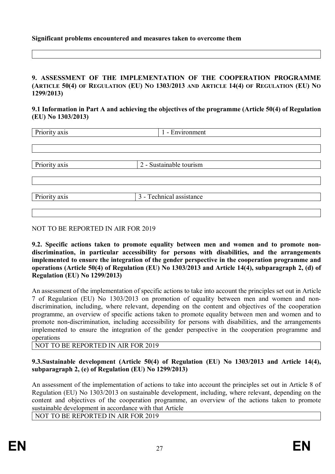#### **Significant problems encountered and measures taken to overcome them**

#### **9. ASSESSMENT OF THE IMPLEMENTATION OF THE COOPERATION PROGRAMME** (ARTICLE 50(4) OF REGULATION (EU) NO 1303/2013 AND ARTICLE 14(4) OF REGULATION (EU) NO **1299/2013)**

#### **9.1 Information in Part A and achieving the objectives of the programme (Article 50(4) of Regulation (EU) No 1303/2013)**

| Priority axis | 1 - Environment                       |  |  |
|---------------|---------------------------------------|--|--|
|               |                                       |  |  |
|               |                                       |  |  |
|               |                                       |  |  |
| Priority axis | 2 - Sustainable tourism               |  |  |
|               |                                       |  |  |
|               |                                       |  |  |
| Priority axis | $\overline{3}$ - Technical assistance |  |  |
|               |                                       |  |  |
|               |                                       |  |  |

#### NOT TO BE REPORTED IN AIR FOR 2019

**9.2. Specific actions taken to promote equality between men and women and to promote nondiscrimination, in particular accessibility for persons with disabilities, and the arrangements implemented to ensure the integration of the gender perspective in the cooperation programme and operations (Article 50(4) of Regulation (EU) No 1303/2013 and Article 14(4), subparagraph 2, (d) of Regulation (EU) No 1299/2013)**

An assessment of the implementation of specific actions to take into account the principles set out in Article 7 of Regulation (EU) No 1303/2013 on promotion of equality between men and women and nondiscrimination, including, where relevant, depending on the content and objectives of the cooperation programme, an overview of specific actions taken to promote equality between men and women and to promote non-discrimination, including accessibility for persons with disabilities, and the arrangements implemented to ensure the integration of the gender perspective in the cooperation programme and operations

#### NOT TO BE REPORTED IN AIR FOR 2019

# **9.3.Sustainable development (Article 50(4) of Regulation (EU) No 1303/2013 and Article 14(4), subparagraph 2, (e) of Regulation (EU) No 1299/2013)**

An assessment of the implementation of actions to take into account the principles set out in Article 8 of Regulation (EU) No 1303/2013 on sustainable development, including, where relevant, depending on the content and objectives of the cooperation programme, an overview of the actions taken to promote sustainable development in accordance with that Article

NOT TO BE REPORTED IN AIR FOR 2019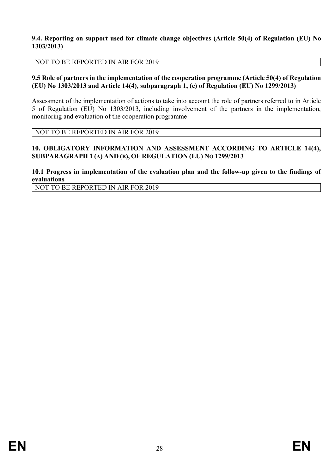#### **9.4. Reporting on support used for climate change objectives (Article 50(4) of Regulation (EU) No 1303/2013)**

#### NOT TO BE REPORTED IN AIR FOR 2019

#### **9.5 Role of partners in the implementation of the cooperation programme (Article 50(4) of Regulation (EU) No 1303/2013 and Article 14(4), subparagraph 1, (c) of Regulation (EU) No 1299/2013)**

Assessment of the implementation of actions to take into account the role of partners referred to in Article 5 of Regulation (EU) No 1303/2013, including involvement of the partners in the implementation, monitoring and evaluation of the cooperation programme

NOT TO BE REPORTED IN AIR FOR 2019

#### **10. OBLIGATORY INFORMATION AND ASSESSMENT ACCORDING TO ARTICLE 14(4), SUBPARAGRAPH 1 (A) AND (B), OF REGULATION (EU) NO 1299/2013**

# **10.1 Progress in implementation of the evaluation plan and the follow-up given to the findings of evaluations**

NOT TO BE REPORTED IN AIR FOR 2019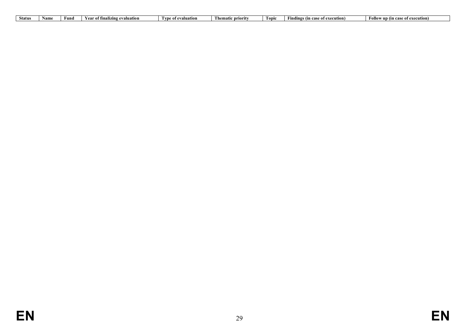| <b>Status</b> | Func | Vaa<br>evaluation<br>* tına<br>ANZIL.<br>1 C 6 | valuation<br>* vne | Thematic priority | t opic | ≞ution.<br>- H1111.C<br>. .<br>case<br>$\cdots$<br> | `ollow<br>case of execution)<br>V UD (IN C |
|---------------|------|------------------------------------------------|--------------------|-------------------|--------|-----------------------------------------------------|--------------------------------------------|
|               |      |                                                |                    |                   |        |                                                     |                                            |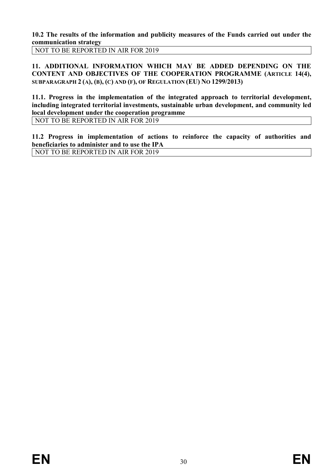**10.2 The results of the information and publicity measures of the Funds carried out under the communication strategy**

NOT TO BE REPORTED IN AIR FOR 2019

**11. ADDITIONAL INFORMATION WHICH MAY BE ADDED DEPENDING ON THE CONTENT AND OBJECTIVES OF THE COOPERATION PROGRAMME (ARTICLE 14(4), SUBPARAGRAPH 2 (A), (B), (C) AND (F), OF REGULATION (EU) NO 1299/2013)**

**11.1. Progress in the implementation of the integrated approach to territorial development, including integrated territorial investments, sustainable urban development, and community led local development under the cooperation programme**

NOT TO BE REPORTED IN AIR FOR 2019

**11.2 Progress in implementation of actions to reinforce the capacity of authorities and beneficiaries to administer and to use the IPA** NOT TO BE REPORTED IN AIR FOR 2019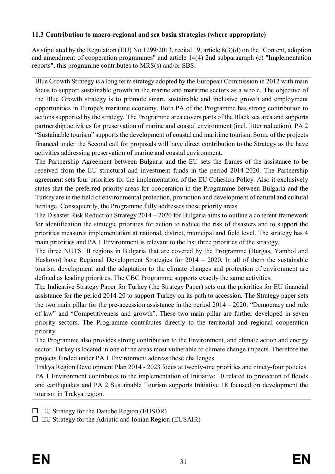# **11.3 Contribution to macro-regional and sea basin strategies (where appropriate)**

As stipulated by the Regulation (EU) No 1299/2013, recital 19, article 8(3)(d) on the "Content, adoption and amendment of cooperation programmes" and article 14(4) 2nd subparagraph (c) "Implementation reports", this programme contributes to MRS(s) and/or SBS:

Blue Growth Strategy is a long term strategy adopted by the European Commission in 2012 with main focus to support sustainable growth in the marine and maritime sectors as a whole. The objective of the Blue Growth strategy is to promote smart, sustainable and inclusive growth and employment opportunities in Europe's maritime economy. Both PA of the Programme has strong contribution to actions supported by the strategy. The Programme area covers parts of the Black sea area and supports partnership activities for preservation of marine and coastal environment (incl. litter reduction). PA 2 "Sustainable tourism" supports the development of coastal and maritime tourism. Some of the projects financеd under the Second call for proposals will have direct contribution to the Strategy as the have activities addressing preservation of marine and coastal environment.

The Partnership Agreement between Bulgaria and the EU sets the frames of the assistance to be received from the EU structural and investment funds in the period 2014-2020. The Partnership agreement sets four priorities for the implementation of the EU Cohesion Policy. Also it exclusively states that the preferred priority areas for cooperation in the Programme between Bulgaria and the Turkey are in the field of environmental protection, promotion and development of natural and cultural heritage. Consequently, the Programme fully addresses these priority areas.

The Disaster Risk Reduction Strategy 2014 – 2020 for Bulgaria aims to outline a coherent framework for identification the strategic priorities for action to reduce the risk of disasters and to support the priorities measures implementation at national, district, municipal and field level. The strategy has 4 main priorities and PA 1 Environment is relevant to the last three priorities of the strategy.

The three NUTS III regions in Bulgaria that are covered by the Programme (Burgas, Yambol and Haskovo) have Regional Development Strategies for 2014 – 2020. In all of them the sustainable tourism development and the adaptation to the climate changes and protection of environment are defined as leading priorities. The CBC Programme supports exactly the same activities.

The Indicative Strategy Paper for Turkey (the Strategy Paper) sets out the priorities for EU financial assistance for the period 2014-20 to support Turkey on its path to accession. The Strategy paper sets the two main pillar for the pre-accession assistance in the period 2014 – 2020: "Democracy and rule of law" and "Competitiveness and growth". These two main pillar are further developed in seven priority sectors. The Programme contributes directly to the territorial and regional cooperation priority.

The Programme also provides strong contribution to the Environment, and climate action and energy sector. Turkey is located in one of the areas most vulnerable to climate change impacts. Therefore the projects funded under PA 1 Environment address these challenges.

Trakya Region Development Plan 2014 - 2023 focus at twenty-one priorities and ninety-four policies. PA 1 Environment contributes to the implementation of Initiative 10 related to protection of floods and earthquakes and PA 2 Sustainable Tourism supports Initiative 18 focused on development the tourism in Trakya region.

 $\Box$  EU Strategy for the Danube Region (EUSDR)

 $\Box$  EU Strategy for the Adriatic and Ionian Region (EUSAIR)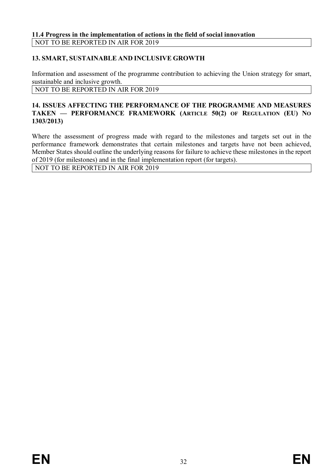# **13. SMART, SUSTAINABLE AND INCLUSIVE GROWTH**

Information and assessment of the programme contribution to achieving the Union strategy for smart, sustainable and inclusive growth.

NOT TO BE REPORTED IN AIR FOR 2019

#### **14. ISSUES AFFECTING THE PERFORMANCE OF THE PROGRAMME AND MEASURES TAKEN — PERFORMANCE FRAMEWORK (ARTICLE 50(2) OF REGULATION (EU) NO 1303/2013)**

Where the assessment of progress made with regard to the milestones and targets set out in the performance framework demonstrates that certain milestones and targets have not been achieved, Member States should outline the underlying reasons for failure to achieve these milestones in the report of 2019 (for milestones) and in the final implementation report (for targets).

NOT TO BE REPORTED IN AIR FOR 2019